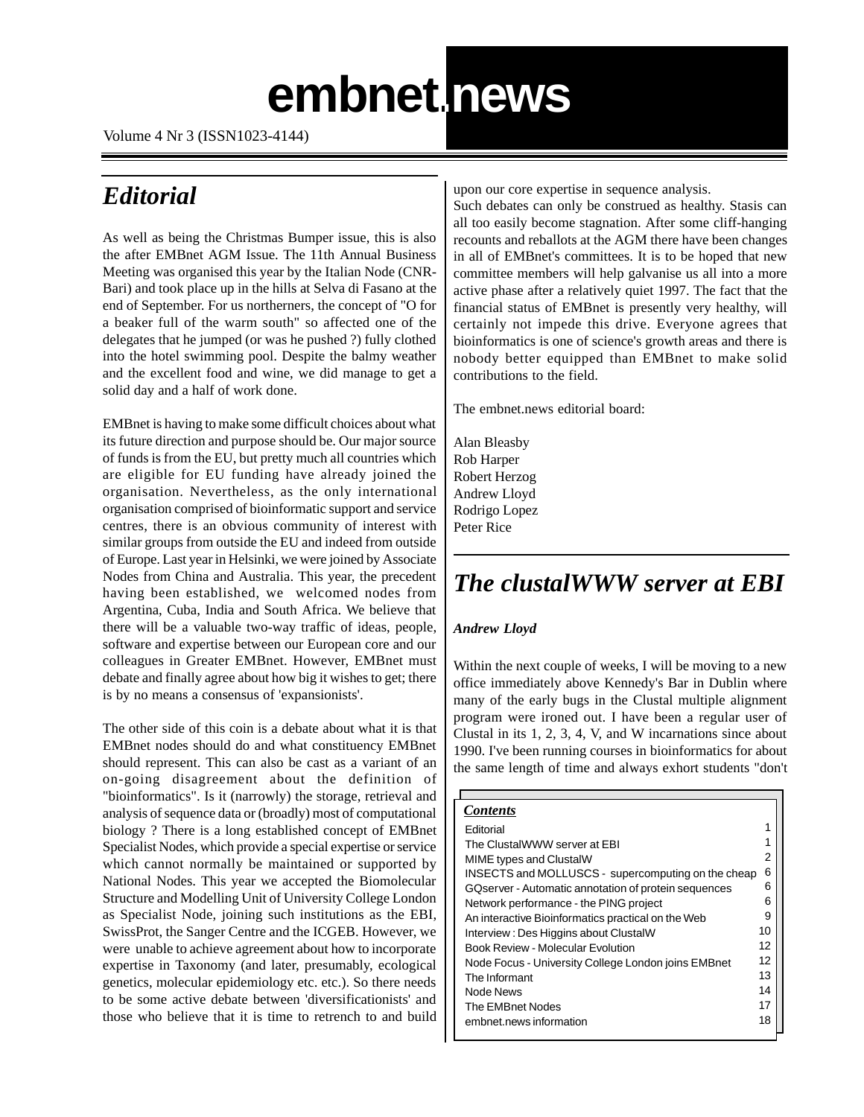# **embnet.news**

 **embnet.news Volume 4 Nr. 3 Page 1**

Volume 4 Nr 3 (ISSN1023-4144)

### *Editorial*

As well as being the Christmas Bumper issue, this is also the after EMBnet AGM Issue. The 11th Annual Business Meeting was organised this year by the Italian Node (CNR-Bari) and took place up in the hills at Selva di Fasano at the end of September. For us northerners, the concept of "O for a beaker full of the warm south" so affected one of the delegates that he jumped (or was he pushed ?) fully clothed into the hotel swimming pool. Despite the balmy weather and the excellent food and wine, we did manage to get a solid day and a half of work done.

EMBnet is having to make some difficult choices about what its future direction and purpose should be. Our major source of funds is from the EU, but pretty much all countries which are eligible for EU funding have already joined the organisation. Nevertheless, as the only international organisation comprised of bioinformatic support and service centres, there is an obvious community of interest with similar groups from outside the EU and indeed from outside of Europe. Last year in Helsinki, we were joined by Associate Nodes from China and Australia. This year, the precedent having been established, we welcomed nodes from Argentina, Cuba, India and South Africa. We believe that there will be a valuable two-way traffic of ideas, people, software and expertise between our European core and our colleagues in Greater EMBnet. However, EMBnet must debate and finally agree about how big it wishes to get; there is by no means a consensus of 'expansionists'.

The other side of this coin is a debate about what it is that EMBnet nodes should do and what constituency EMBnet should represent. This can also be cast as a variant of an on-going disagreement about the definition of "bioinformatics". Is it (narrowly) the storage, retrieval and analysis of sequence data or (broadly) most of computational biology ? There is a long established concept of EMBnet Specialist Nodes, which provide a special expertise or service which cannot normally be maintained or supported by National Nodes. This year we accepted the Biomolecular Structure and Modelling Unit of University College London as Specialist Node, joining such institutions as the EBI, SwissProt, the Sanger Centre and the ICGEB. However, we were unable to achieve agreement about how to incorporate expertise in Taxonomy (and later, presumably, ecological genetics, molecular epidemiology etc. etc.). So there needs to be some active debate between 'diversificationists' and those who believe that it is time to retrench to and build

upon our core expertise in sequence analysis.

Such debates can only be construed as healthy. Stasis can all too easily become stagnation. After some cliff-hanging recounts and reballots at the AGM there have been changes in all of EMBnet's committees. It is to be hoped that new committee members will help galvanise us all into a more active phase after a relatively quiet 1997. The fact that the financial status of EMBnet is presently very healthy, will certainly not impede this drive. Everyone agrees that bioinformatics is one of science's growth areas and there is nobody better equipped than EMBnet to make solid contributions to the field.

The embnet.news editorial board:

Alan Bleasby Rob Harper Robert Herzog Andrew Lloyd Rodrigo Lopez Peter Rice

## *The clustalWWW server at EBI*

### *Andrew Lloyd*

Within the next couple of weeks, I will be moving to a new office immediately above Kennedy's Bar in Dublin where many of the early bugs in the Clustal multiple alignment program were ironed out. I have been a regular user of Clustal in its 1, 2, 3, 4, V, and W incarnations since about 1990. I've been running courses in bioinformatics for about the same length of time and always exhort students "don't

#### *Contents*

| Editorial                                            |    |
|------------------------------------------------------|----|
| The ClustalWWW server at EBI                         |    |
| MIME types and ClustalW                              | 2  |
| INSECTS and MOLLUSCS - supercomputing on the cheap   | 6  |
| GQserver - Automatic annotation of protein sequences | 6  |
| Network performance - the PING project               | 6  |
| An interactive Bioinformatics practical on the Web   | 9  |
| Interview: Des Higgins about ClustalW                | 10 |
| <b>Book Review - Molecular Evolution</b>             | 12 |
| Node Focus - University College London joins EMBnet  | 12 |
| The Informant                                        | 13 |
| Node News                                            | 14 |
| The EMBnet Nodes                                     | 17 |
| embnet.news information                              | 18 |
|                                                      |    |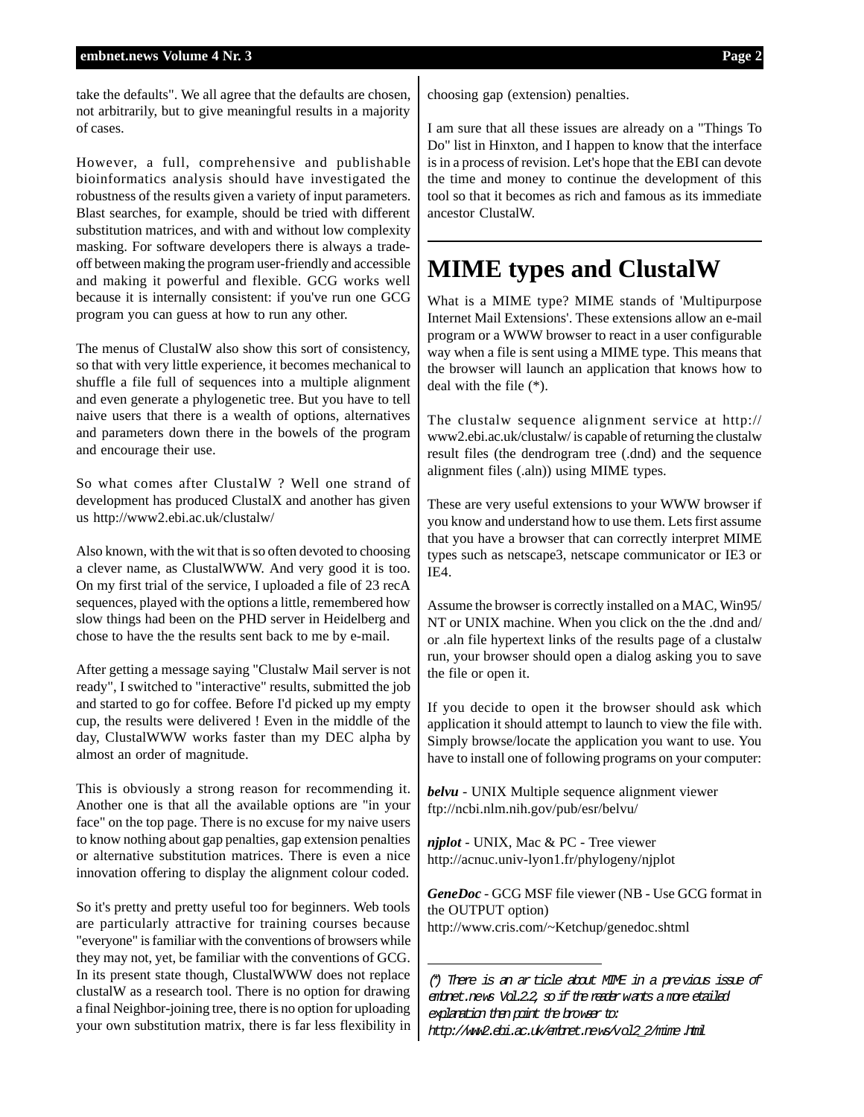take the defaults". We all agree that the defaults are chosen, not arbitrarily, but to give meaningful results in a majority of cases.

However, a full, comprehensive and publishable bioinformatics analysis should have investigated the robustness of the results given a variety of input parameters. Blast searches, for example, should be tried with different substitution matrices, and with and without low complexity masking. For software developers there is always a tradeoff between making the program user-friendly and accessible and making it powerful and flexible. GCG works well because it is internally consistent: if you've run one GCG program you can guess at how to run any other.

The menus of ClustalW also show this sort of consistency, so that with very little experience, it becomes mechanical to shuffle a file full of sequences into a multiple alignment and even generate a phylogenetic tree. But you have to tell naive users that there is a wealth of options, alternatives and parameters down there in the bowels of the program and encourage their use.

So what comes after ClustalW ? Well one strand of development has produced ClustalX and another has given us http://www2.ebi.ac.uk/clustalw/

Also known, with the wit that is so often devoted to choosing a clever name, as ClustalWWW. And very good it is too. On my first trial of the service, I uploaded a file of 23 recA sequences, played with the options a little, remembered how slow things had been on the PHD server in Heidelberg and chose to have the the results sent back to me by e-mail.

After getting a message saying "Clustalw Mail server is not ready", I switched to "interactive" results, submitted the job and started to go for coffee. Before I'd picked up my empty cup, the results were delivered ! Even in the middle of the day, ClustalWWW works faster than my DEC alpha by almost an order of magnitude.

This is obviously a strong reason for recommending it. Another one is that all the available options are "in your face" on the top page. There is no excuse for my naive users to know nothing about gap penalties, gap extension penalties or alternative substitution matrices. There is even a nice innovation offering to display the alignment colour coded.

So it's pretty and pretty useful too for beginners. Web tools are particularly attractive for training courses because "everyone" is familiar with the conventions of browsers while they may not, yet, be familiar with the conventions of GCG. In its present state though, ClustalWWW does not replace clustalW as a research tool. There is no option for drawing a final Neighbor-joining tree, there is no option for uploading your own substitution matrix, there is far less flexibility in choosing gap (extension) penalties.

I am sure that all these issues are already on a "Things To Do" list in Hinxton, and I happen to know that the interface is in a process of revision. Let's hope that the EBI can devote the time and money to continue the development of this tool so that it becomes as rich and famous as its immediate ancestor ClustalW.

### **MIME types and ClustalW**

What is a MIME type? MIME stands of 'Multipurpose Internet Mail Extensions'. These extensions allow an e-mail program or a WWW browser to react in a user configurable way when a file is sent using a MIME type. This means that the browser will launch an application that knows how to deal with the file (\*).

The clustalw sequence alignment service at http:// www2.ebi.ac.uk/clustalw/ is capable of returning the clustalw result files (the dendrogram tree (.dnd) and the sequence alignment files (.aln)) using MIME types.

These are very useful extensions to your WWW browser if you know and understand how to use them. Lets first assume that you have a browser that can correctly interpret MIME types such as netscape3, netscape communicator or IE3 or IE4.

Assume the browser is correctly installed on a MAC, Win95/ NT or UNIX machine. When you click on the the .dnd and/ or .aln file hypertext links of the results page of a clustalw run, your browser should open a dialog asking you to save the file or open it.

If you decide to open it the browser should ask which application it should attempt to launch to view the file with. Simply browse/locate the application you want to use. You have to install one of following programs on your computer:

*belvu* - UNIX Multiple sequence alignment viewer ftp://ncbi.nlm.nih.gov/pub/esr/belvu/

*njplot* - UNIX, Mac & PC - Tree viewer http://acnuc.univ-lyon1.fr/phylogeny/njplot

*GeneDoc* - GCG MSF file viewer (NB - Use GCG format in the OUTPUT option) http://www.cris.com/~Ketchup/genedoc.shtml

(\*) There is an article about MIME in a previous issue of embnet.news Vol.2.2, so if the reader wants a more etailed explanation then point the browser to: http://www2.ebi.ac.uk/enbnet.news/vol2\_2/mime.html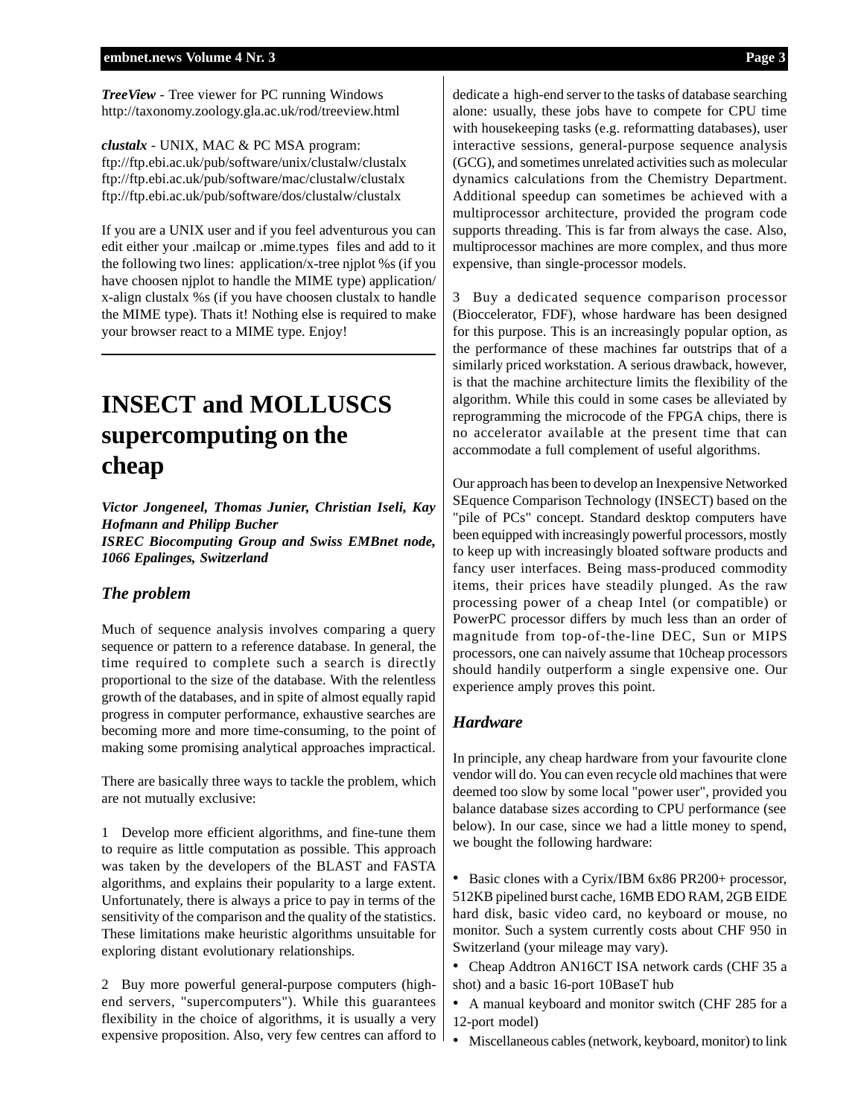*TreeView* - Tree viewer for PC running Windows http://taxonomy.zoology.gla.ac.uk/rod/treeview.html

*clustalx* - UNIX, MAC & PC MSA program: ftp://ftp.ebi.ac.uk/pub/software/unix/clustalw/clustalx ftp://ftp.ebi.ac.uk/pub/software/mac/clustalw/clustalx ftp://ftp.ebi.ac.uk/pub/software/dos/clustalw/clustalx

If you are a UNIX user and if you feel adventurous you can edit either your .mailcap or .mime.types files and add to it the following two lines: application/x-tree njplot %s (if you have choosen njplot to handle the MIME type) application/ x-align clustalx %s (if you have choosen clustalx to handle the MIME type). Thats it! Nothing else is required to make your browser react to a MIME type. Enjoy!

## **INSECT and MOLLUSCS supercomputing on the cheap**

*Victor Jongeneel, Thomas Junier, Christian Iseli, Kay Hofmann and Philipp Bucher ISREC Biocomputing Group and Swiss EMBnet node, 1066 Epalinges, Switzerland*

### *The problem*

Much of sequence analysis involves comparing a query sequence or pattern to a reference database. In general, the time required to complete such a search is directly proportional to the size of the database. With the relentless growth of the databases, and in spite of almost equally rapid progress in computer performance, exhaustive searches are becoming more and more time-consuming, to the point of making some promising analytical approaches impractical.

There are basically three ways to tackle the problem, which are not mutually exclusive:

1 Develop more efficient algorithms, and fine-tune them to require as little computation as possible. This approach was taken by the developers of the BLAST and FASTA algorithms, and explains their popularity to a large extent. Unfortunately, there is always a price to pay in terms of the sensitivity of the comparison and the quality of the statistics. These limitations make heuristic algorithms unsuitable for exploring distant evolutionary relationships.

2 Buy more powerful general-purpose computers (highend servers, "supercomputers"). While this guarantees flexibility in the choice of algorithms, it is usually a very expensive proposition. Also, very few centres can afford to dedicate a high-end server to the tasks of database searching alone: usually, these jobs have to compete for CPU time with housekeeping tasks (e.g. reformatting databases), user interactive sessions, general-purpose sequence analysis (GCG), and sometimes unrelated activities such as molecular dynamics calculations from the Chemistry Department. Additional speedup can sometimes be achieved with a multiprocessor architecture, provided the program code supports threading. This is far from always the case. Also, multiprocessor machines are more complex, and thus more expensive, than single-processor models.

3 Buy a dedicated sequence comparison processor (Bioccelerator, FDF), whose hardware has been designed for this purpose. This is an increasingly popular option, as the performance of these machines far outstrips that of a similarly priced workstation. A serious drawback, however, is that the machine architecture limits the flexibility of the algorithm. While this could in some cases be alleviated by reprogramming the microcode of the FPGA chips, there is no accelerator available at the present time that can accommodate a full complement of useful algorithms.

Our approach has been to develop an Inexpensive Networked SEquence Comparison Technology (INSECT) based on the "pile of PCs" concept. Standard desktop computers have been equipped with increasingly powerful processors, mostly to keep up with increasingly bloated software products and fancy user interfaces. Being mass-produced commodity items, their prices have steadily plunged. As the raw processing power of a cheap Intel (or compatible) or PowerPC processor differs by much less than an order of magnitude from top-of-the-line DEC, Sun or MIPS processors, one can naively assume that 10cheap processors should handily outperform a single expensive one. Our experience amply proves this point.

### *Hardware*

In principle, any cheap hardware from your favourite clone vendor will do. You can even recycle old machines that were deemed too slow by some local "power user", provided you balance database sizes according to CPU performance (see below). In our case, since we had a little money to spend, we bought the following hardware:

• Basic clones with a Cyrix/IBM 6x86 PR200+ processor, 512KB pipelined burst cache, 16MB EDO RAM, 2GB EIDE hard disk, basic video card, no keyboard or mouse, no monitor. Such a system currently costs about CHF 950 in Switzerland (your mileage may vary).

• Cheap Addtron AN16CT ISA network cards (CHF 35 a shot) and a basic 16-port 10BaseT hub

• A manual keyboard and monitor switch (CHF 285 for a 12-port model)

• Miscellaneous cables (network, keyboard, monitor) to link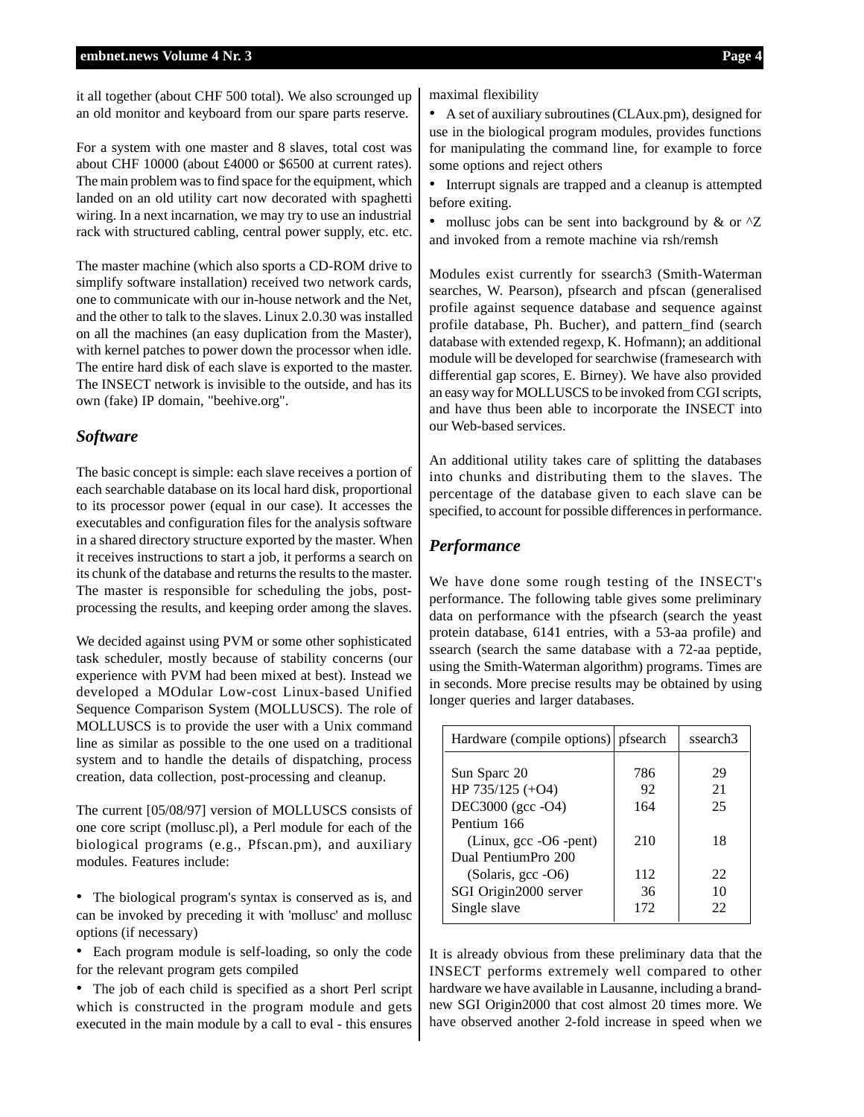it all together (about CHF 500 total). We also scrounged up an old monitor and keyboard from our spare parts reserve.

For a system with one master and 8 slaves, total cost was about CHF 10000 (about £4000 or \$6500 at current rates). The main problem was to find space for the equipment, which landed on an old utility cart now decorated with spaghetti wiring. In a next incarnation, we may try to use an industrial rack with structured cabling, central power supply, etc. etc.

The master machine (which also sports a CD-ROM drive to simplify software installation) received two network cards, one to communicate with our in-house network and the Net, and the other to talk to the slaves. Linux 2.0.30 was installed on all the machines (an easy duplication from the Master), with kernel patches to power down the processor when idle. The entire hard disk of each slave is exported to the master. The INSECT network is invisible to the outside, and has its own (fake) IP domain, "beehive.org".

### *Software*

The basic concept is simple: each slave receives a portion of each searchable database on its local hard disk, proportional to its processor power (equal in our case). It accesses the executables and configuration files for the analysis software in a shared directory structure exported by the master. When it receives instructions to start a job, it performs a search on its chunk of the database and returns the results to the master. The master is responsible for scheduling the jobs, postprocessing the results, and keeping order among the slaves.

We decided against using PVM or some other sophisticated task scheduler, mostly because of stability concerns (our experience with PVM had been mixed at best). Instead we developed a MOdular Low-cost Linux-based Unified Sequence Comparison System (MOLLUSCS). The role of MOLLUSCS is to provide the user with a Unix command line as similar as possible to the one used on a traditional system and to handle the details of dispatching, process creation, data collection, post-processing and cleanup.

The current [05/08/97] version of MOLLUSCS consists of one core script (mollusc.pl), a Perl module for each of the biological programs (e.g., Pfscan.pm), and auxiliary modules. Features include:

• The biological program's syntax is conserved as is, and can be invoked by preceding it with 'mollusc' and mollusc options (if necessary)

• Each program module is self-loading, so only the code for the relevant program gets compiled

• The job of each child is specified as a short Perl script which is constructed in the program module and gets executed in the main module by a call to eval - this ensures

maximal flexibility

• A set of auxiliary subroutines (CLAux.pm), designed for use in the biological program modules, provides functions for manipulating the command line, for example to force some options and reject others

• Interrupt signals are trapped and a cleanup is attempted before exiting.

• mollusc jobs can be sent into background by  $&$  or  $'Z$ and invoked from a remote machine via rsh/remsh

Modules exist currently for ssearch3 (Smith-Waterman searches, W. Pearson), pfsearch and pfscan (generalised profile against sequence database and sequence against profile database, Ph. Bucher), and pattern\_find (search database with extended regexp, K. Hofmann); an additional module will be developed for searchwise (framesearch with differential gap scores, E. Birney). We have also provided an easy way for MOLLUSCS to be invoked from CGI scripts, and have thus been able to incorporate the INSECT into our Web-based services.

An additional utility takes care of splitting the databases into chunks and distributing them to the slaves. The percentage of the database given to each slave can be specified, to account for possible differences in performance.

### *Performance*

We have done some rough testing of the INSECT's performance. The following table gives some preliminary data on performance with the pfsearch (search the yeast protein database, 6141 entries, with a 53-aa profile) and ssearch (search the same database with a 72-aa peptide, using the Smith-Waterman algorithm) programs. Times are in seconds. More precise results may be obtained by using longer queries and larger databases.

| Hardware (compile options) pfsearch |     | ssearch <sub>3</sub> |
|-------------------------------------|-----|----------------------|
|                                     |     |                      |
| Sun Sparc 20                        | 786 | 29                   |
| HP 735/125 (+O4)                    | 92  | 21                   |
| DEC3000 (gcc -O4)                   | 164 | 25                   |
| Pentium 166                         |     |                      |
| (Linux, gcc -O6 -pent)              | 210 | 18                   |
| Dual PentiumPro 200                 |     |                      |
| (Solaris, gcc -O6)                  | 112 | 22                   |
| SGI Origin2000 server               | 36  | 10                   |
| Single slave                        | 172 | 22                   |

It is already obvious from these preliminary data that the INSECT performs extremely well compared to other hardware we have available in Lausanne, including a brandnew SGI Origin2000 that cost almost 20 times more. We have observed another 2-fold increase in speed when we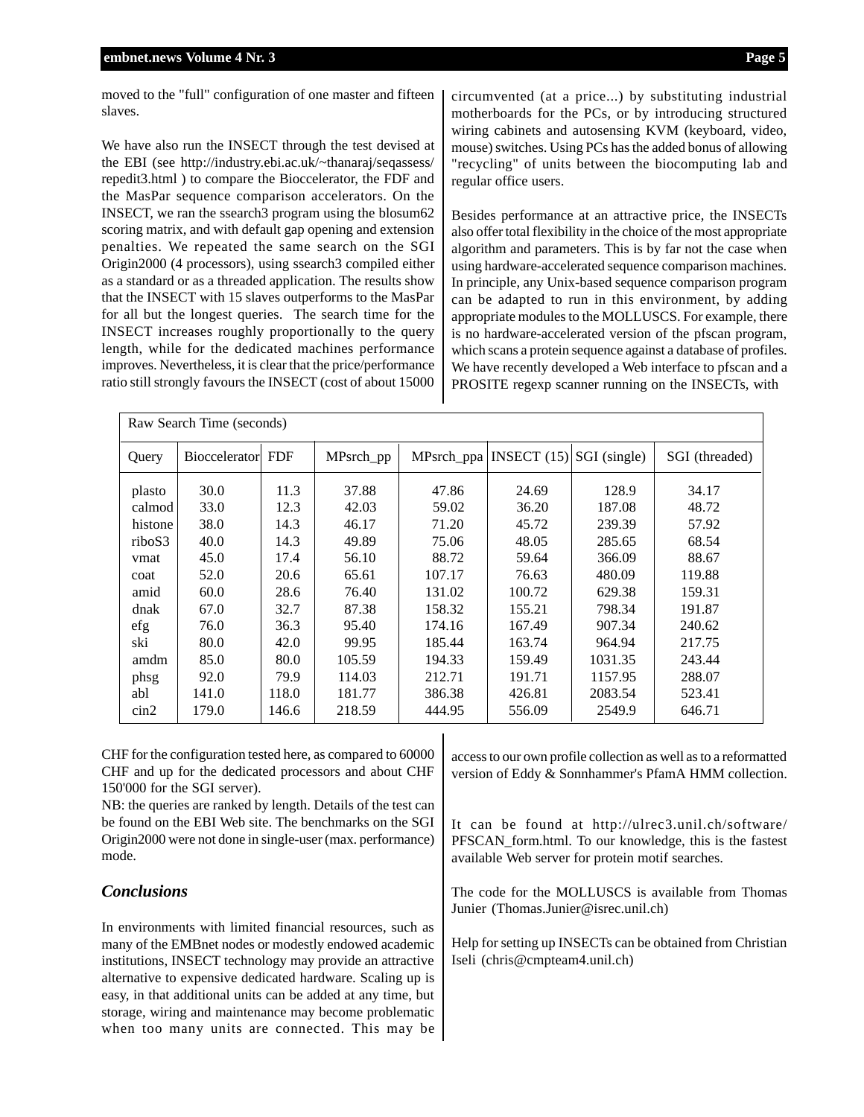moved to the "full" configuration of one master and fifteen slaves.

We have also run the INSECT through the test devised at the EBI (see http://industry.ebi.ac.uk/~thanaraj/seqassess/ repedit3.html ) to compare the Bioccelerator, the FDF and the MasPar sequence comparison accelerators. On the INSECT, we ran the ssearch3 program using the blosum62 scoring matrix, and with default gap opening and extension penalties. We repeated the same search on the SGI Origin2000 (4 processors), using ssearch3 compiled either as a standard or as a threaded application. The results show that the INSECT with 15 slaves outperforms to the MasPar for all but the longest queries. The search time for the INSECT increases roughly proportionally to the query length, while for the dedicated machines performance improves. Nevertheless, it is clear that the price/performance ratio still strongly favours the INSECT (cost of about 15000

circumvented (at a price...) by substituting industrial motherboards for the PCs, or by introducing structured wiring cabinets and autosensing KVM (keyboard, video, mouse) switches. Using PCs has the added bonus of allowing "recycling" of units between the biocomputing lab and regular office users.

Besides performance at an attractive price, the INSECTs also offer total flexibility in the choice of the most appropriate algorithm and parameters. This is by far not the case when using hardware-accelerated sequence comparison machines. In principle, any Unix-based sequence comparison program can be adapted to run in this environment, by adding appropriate modules to the MOLLUSCS. For example, there is no hardware-accelerated version of the pfscan program, which scans a protein sequence against a database of profiles. We have recently developed a Web interface to pfscan and a PROSITE regexp scanner running on the INSECTs, with

| Raw Search Time (seconds) |                      |            |           |            |                            |         |                |
|---------------------------|----------------------|------------|-----------|------------|----------------------------|---------|----------------|
| Query                     | <b>Bioccelerator</b> | <b>FDF</b> | MPsrch_pp | MPsrch_ppa | INSECT $(15)$ SGI (single) |         | SGI (threaded) |
| plasto                    | 30.0                 | 11.3       | 37.88     | 47.86      | 24.69                      | 128.9   | 34.17          |
| calmod                    | 33.0                 | 12.3       | 42.03     | 59.02      | 36.20                      | 187.08  | 48.72          |
| histone                   | 38.0                 | 14.3       | 46.17     | 71.20      | 45.72                      | 239.39  | 57.92          |
| riboS3                    | 40.0                 | 14.3       | 49.89     | 75.06      | 48.05                      | 285.65  | 68.54          |
| vmat                      | 45.0                 | 17.4       | 56.10     | 88.72      | 59.64                      | 366.09  | 88.67          |
| coat                      | 52.0                 | 20.6       | 65.61     | 107.17     | 76.63                      | 480.09  | 119.88         |
| amid                      | 60.0                 | 28.6       | 76.40     | 131.02     | 100.72                     | 629.38  | 159.31         |
| dnak                      | 67.0                 | 32.7       | 87.38     | 158.32     | 155.21                     | 798.34  | 191.87         |
| efg                       | 76.0                 | 36.3       | 95.40     | 174.16     | 167.49                     | 907.34  | 240.62         |
| ski                       | 80.0                 | 42.0       | 99.95     | 185.44     | 163.74                     | 964.94  | 217.75         |
| amdm                      | 85.0                 | 80.0       | 105.59    | 194.33     | 159.49                     | 1031.35 | 243.44         |
| phsg                      | 92.0                 | 79.9       | 114.03    | 212.71     | 191.71                     | 1157.95 | 288.07         |
| abl                       | 141.0                | 118.0      | 181.77    | 386.38     | 426.81                     | 2083.54 | 523.41         |
| $\sin 2$                  | 179.0                | 146.6      | 218.59    | 444.95     | 556.09                     | 2549.9  | 646.71         |

CHF for the configuration tested here, as compared to 60000 CHF and up for the dedicated processors and about CHF 150'000 for the SGI server).

NB: the queries are ranked by length. Details of the test can be found on the EBI Web site. The benchmarks on the SGI Origin2000 were not done in single-user (max. performance) mode.

### *Conclusions*

In environments with limited financial resources, such as many of the EMBnet nodes or modestly endowed academic institutions, INSECT technology may provide an attractive alternative to expensive dedicated hardware. Scaling up is easy, in that additional units can be added at any time, but storage, wiring and maintenance may become problematic when too many units are connected. This may be access to our own profile collection as well as to a reformatted version of Eddy & Sonnhammer's PfamA HMM collection.

It can be found at http://ulrec3.unil.ch/software/ PFSCAN\_form.html. To our knowledge, this is the fastest available Web server for protein motif searches.

The code for the MOLLUSCS is available from Thomas Junier (Thomas.Junier@isrec.unil.ch)

Help for setting up INSECTs can be obtained from Christian Iseli (chris@cmpteam4.unil.ch)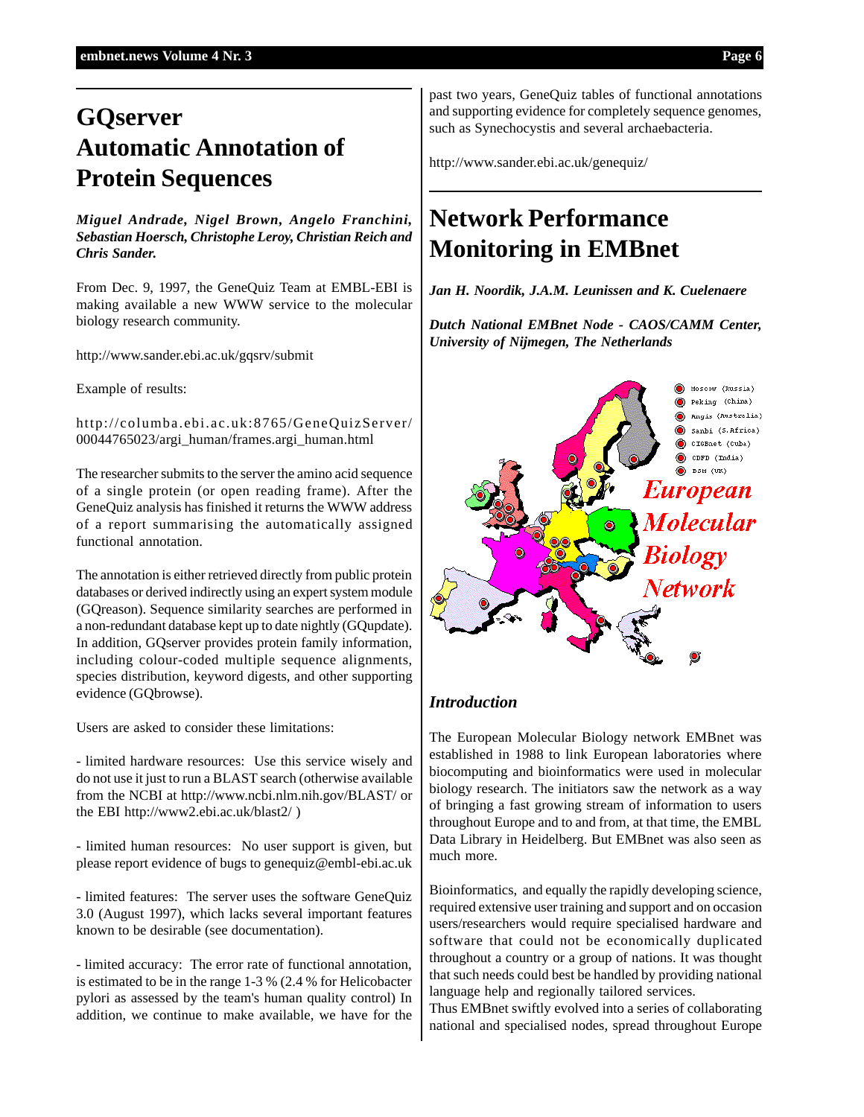## **GQserver Automatic Annotation of Protein Sequences**

*Miguel Andrade, Nigel Brown, Angelo Franchini, Sebastian Hoersch, Christophe Leroy, Christian Reich and Chris Sander.*

From Dec. 9, 1997, the GeneQuiz Team at EMBL-EBI is making available a new WWW service to the molecular biology research community.

http://www.sander.ebi.ac.uk/gqsrv/submit

Example of results:

http://columba.ebi.ac.uk:8765/GeneQuizServer/ 00044765023/argi\_human/frames.argi\_human.html

The researcher submits to the server the amino acid sequence of a single protein (or open reading frame). After the GeneQuiz analysis has finished it returns the WWW address of a report summarising the automatically assigned functional annotation.

The annotation is either retrieved directly from public protein databases or derived indirectly using an expert system module (GQreason). Sequence similarity searches are performed in a non-redundant database kept up to date nightly (GQupdate). In addition, GQserver provides protein family information, including colour-coded multiple sequence alignments, species distribution, keyword digests, and other supporting evidence (GQbrowse).

Users are asked to consider these limitations:

- limited hardware resources: Use this service wisely and do not use it just to run a BLAST search (otherwise available from the NCBI at http://www.ncbi.nlm.nih.gov/BLAST/ or the EBI http://www2.ebi.ac.uk/blast2/ )

- limited human resources: No user support is given, but please report evidence of bugs to genequiz@embl-ebi.ac.uk

- limited features: The server uses the software GeneQuiz 3.0 (August 1997), which lacks several important features known to be desirable (see documentation).

- limited accuracy: The error rate of functional annotation, is estimated to be in the range 1-3 % (2.4 % for Helicobacter pylori as assessed by the team's human quality control) In addition, we continue to make available, we have for the past two years, GeneQuiz tables of functional annotations and supporting evidence for completely sequence genomes, such as Synechocystis and several archaebacteria.

http://www.sander.ebi.ac.uk/genequiz/

### **Network Performance Monitoring in EMBnet**

*Jan H. Noordik, J.A.M. Leunissen and K. Cuelenaere*

*Dutch National EMBnet Node - CAOS/CAMM Center, University of Nijmegen, The Netherlands*



### *Introduction*

The European Molecular Biology network EMBnet was established in 1988 to link European laboratories where biocomputing and bioinformatics were used in molecular biology research. The initiators saw the network as a way of bringing a fast growing stream of information to users throughout Europe and to and from, at that time, the EMBL Data Library in Heidelberg. But EMBnet was also seen as much more.

Bioinformatics, and equally the rapidly developing science, required extensive user training and support and on occasion users/researchers would require specialised hardware and software that could not be economically duplicated throughout a country or a group of nations. It was thought that such needs could best be handled by providing national language help and regionally tailored services.

Thus EMBnet swiftly evolved into a series of collaborating national and specialised nodes, spread throughout Europe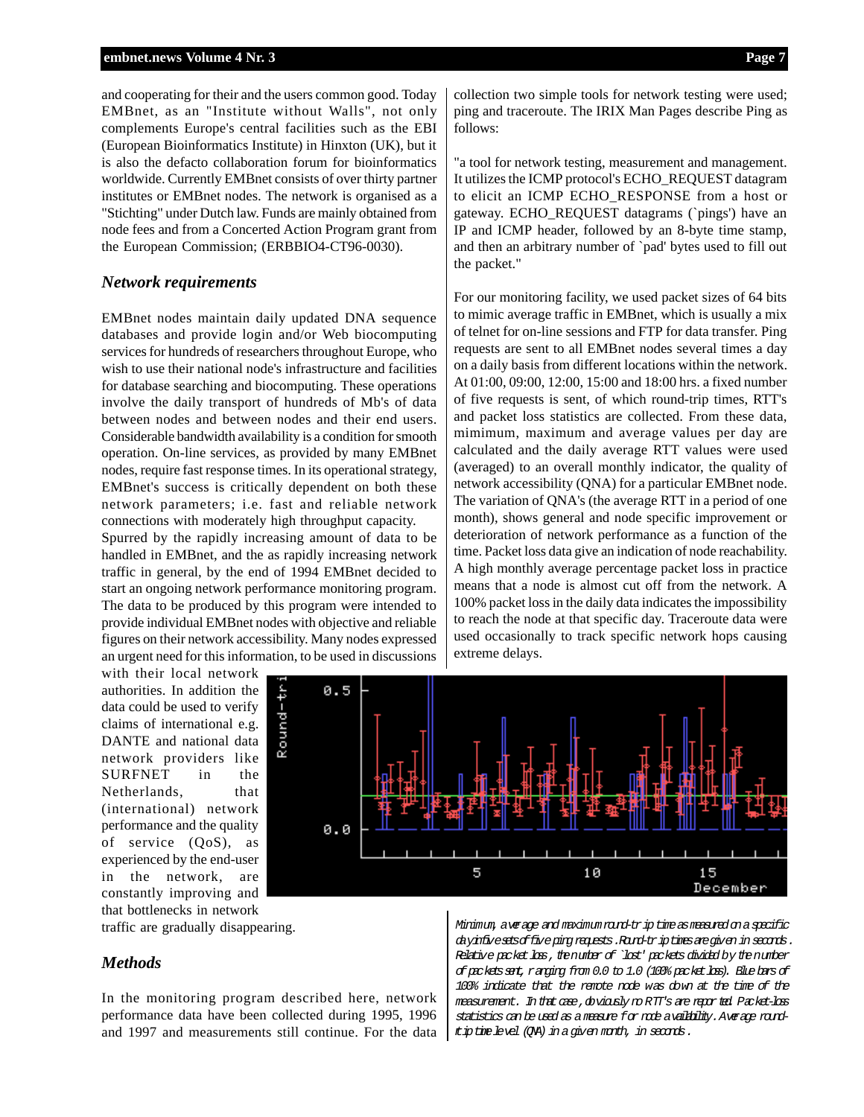and cooperating for their and the users common good. Today EMBnet, as an "Institute without Walls", not only complements Europe's central facilities such as the EBI (European Bioinformatics Institute) in Hinxton (UK), but it is also the defacto collaboration forum for bioinformatics worldwide. Currently EMBnet consists of over thirty partner institutes or EMBnet nodes. The network is organised as a "Stichting" under Dutch law. Funds are mainly obtained from node fees and from a Concerted Action Program grant from the European Commission; (ERBBIO4-CT96-0030).

### *Network requirements*

EMBnet nodes maintain daily updated DNA sequence databases and provide login and/or Web biocomputing services for hundreds of researchers throughout Europe, who wish to use their national node's infrastructure and facilities for database searching and biocomputing. These operations involve the daily transport of hundreds of Mb's of data between nodes and between nodes and their end users. Considerable bandwidth availability is a condition for smooth operation. On-line services, as provided by many EMBnet nodes, require fast response times. In its operational strategy, EMBnet's success is critically dependent on both these network parameters; i.e. fast and reliable network connections with moderately high throughput capacity.

Spurred by the rapidly increasing amount of data to be handled in EMBnet, and the as rapidly increasing network traffic in general, by the end of 1994 EMBnet decided to start an ongoing network performance monitoring program. The data to be produced by this program were intended to provide individual EMBnet nodes with objective and reliable figures on their network accessibility. Many nodes expressed an urgent need for this information, to be used in discussions

with their local network authorities. In addition the data could be used to verify claims of international e.g. DANTE and national data network providers like SURFNET in the Netherlands, that (international) network performance and the quality of service (QoS), as experienced by the end-user in the network, are constantly improving and that bottlenecks in network

traffic are gradually disappearing.

### *Methods*

In the monitoring program described here, network performance data have been collected during 1995, 1996 and 1997 and measurements still continue. For the data

collection two simple tools for network testing were used; ping and traceroute. The IRIX Man Pages describe Ping as follows:

"a tool for network testing, measurement and management. It utilizes the ICMP protocol's ECHO\_REQUEST datagram to elicit an ICMP ECHO\_RESPONSE from a host or gateway. ECHO\_REQUEST datagrams (`pings') have an IP and ICMP header, followed by an 8-byte time stamp, and then an arbitrary number of `pad' bytes used to fill out the packet."

For our monitoring facility, we used packet sizes of 64 bits to mimic average traffic in EMBnet, which is usually a mix of telnet for on-line sessions and FTP for data transfer. Ping requests are sent to all EMBnet nodes several times a day on a daily basis from different locations within the network. At 01:00, 09:00, 12:00, 15:00 and 18:00 hrs. a fixed number of five requests is sent, of which round-trip times, RTT's and packet loss statistics are collected. From these data, mimimum, maximum and average values per day are calculated and the daily average RTT values were used (averaged) to an overall monthly indicator, the quality of network accessibility (QNA) for a particular EMBnet node. The variation of QNA's (the average RTT in a period of one month), shows general and node specific improvement or deterioration of network performance as a function of the time. Packet loss data give an indication of node reachability. A high monthly average percentage packet loss in practice means that a node is almost cut off from the network. A 100% packet loss in the daily data indicates the impossibility to reach the node at that specific day. Traceroute data were used occasionally to track specific network hops causing extreme delays.



Minimum, average and maximum round-trip time as measured on a specific dayinfivesetsoffive ping requests.Round-triptimesaregiven in seconds. Relative packet loss, the number of `lost' packets divided by the number ofpacketssent,ranging from 0.0 to 1.0 (100% packetloss). Blue bars of 100% indicate that the remote node was down at the time of the measurement. In that case, do viously no RTT's are reported. Packet-loss statistics can be used as a measure for node availability.Average roundt ip time level (QNA) in a given month, in seconds.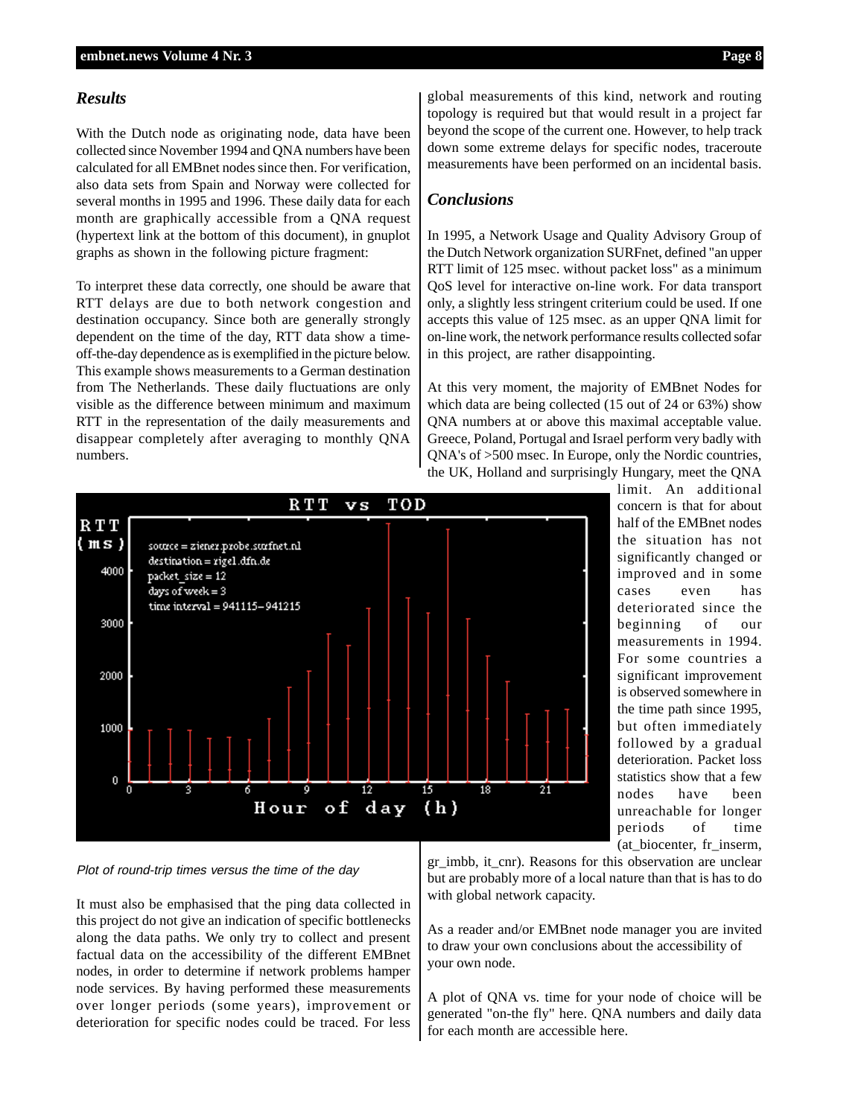### *Results*

With the Dutch node as originating node, data have been collected since November 1994 and QNA numbers have been calculated for all EMBnet nodes since then. For verification, also data sets from Spain and Norway were collected for several months in 1995 and 1996. These daily data for each month are graphically accessible from a QNA request (hypertext link at the bottom of this document), in gnuplot graphs as shown in the following picture fragment:

To interpret these data correctly, one should be aware that RTT delays are due to both network congestion and destination occupancy. Since both are generally strongly dependent on the time of the day, RTT data show a timeoff-the-day dependence as is exemplified in the picture below. This example shows measurements to a German destination from The Netherlands. These daily fluctuations are only visible as the difference between minimum and maximum RTT in the representation of the daily measurements and disappear completely after averaging to monthly QNA numbers.

global measurements of this kind, network and routing topology is required but that would result in a project far beyond the scope of the current one. However, to help track down some extreme delays for specific nodes, traceroute measurements have been performed on an incidental basis.

### *Conclusions*

In 1995, a Network Usage and Quality Advisory Group of the Dutch Network organization SURFnet, defined "an upper RTT limit of 125 msec. without packet loss" as a minimum QoS level for interactive on-line work. For data transport only, a slightly less stringent criterium could be used. If one accepts this value of 125 msec. as an upper QNA limit for on-line work, the network performance results collected sofar in this project, are rather disappointing.

At this very moment, the majority of EMBnet Nodes for which data are being collected (15 out of 24 or 63%) show QNA numbers at or above this maximal acceptable value. Greece, Poland, Portugal and Israel perform very badly with QNA's of >500 msec. In Europe, only the Nordic countries, the UK, Holland and surprisingly Hungary, meet the QNA



limit. An additional concern is that for about half of the EMBnet nodes the situation has not significantly changed or improved and in some cases even has deteriorated since the beginning of our measurements in 1994. For some countries a significant improvement is observed somewhere in the time path since 1995, but often immediately followed by a gradual deterioration. Packet loss statistics show that a few nodes have been unreachable for longer periods of time (at\_biocenter, fr\_inserm,

Plot of round-trip times versus the time of the day

It must also be emphasised that the ping data collected in this project do not give an indication of specific bottlenecks along the data paths. We only try to collect and present factual data on the accessibility of the different EMBnet nodes, in order to determine if network problems hamper node services. By having performed these measurements over longer periods (some years), improvement or deterioration for specific nodes could be traced. For less

gr\_imbb, it\_cnr). Reasons for this observation are unclear but are probably more of a local nature than that is has to do with global network capacity.

As a reader and/or EMBnet node manager you are invited to draw your own conclusions about the accessibility of your own node.

A plot of QNA vs. time for your node of choice will be generated "on-the fly" here. QNA numbers and daily data for each month are accessible here.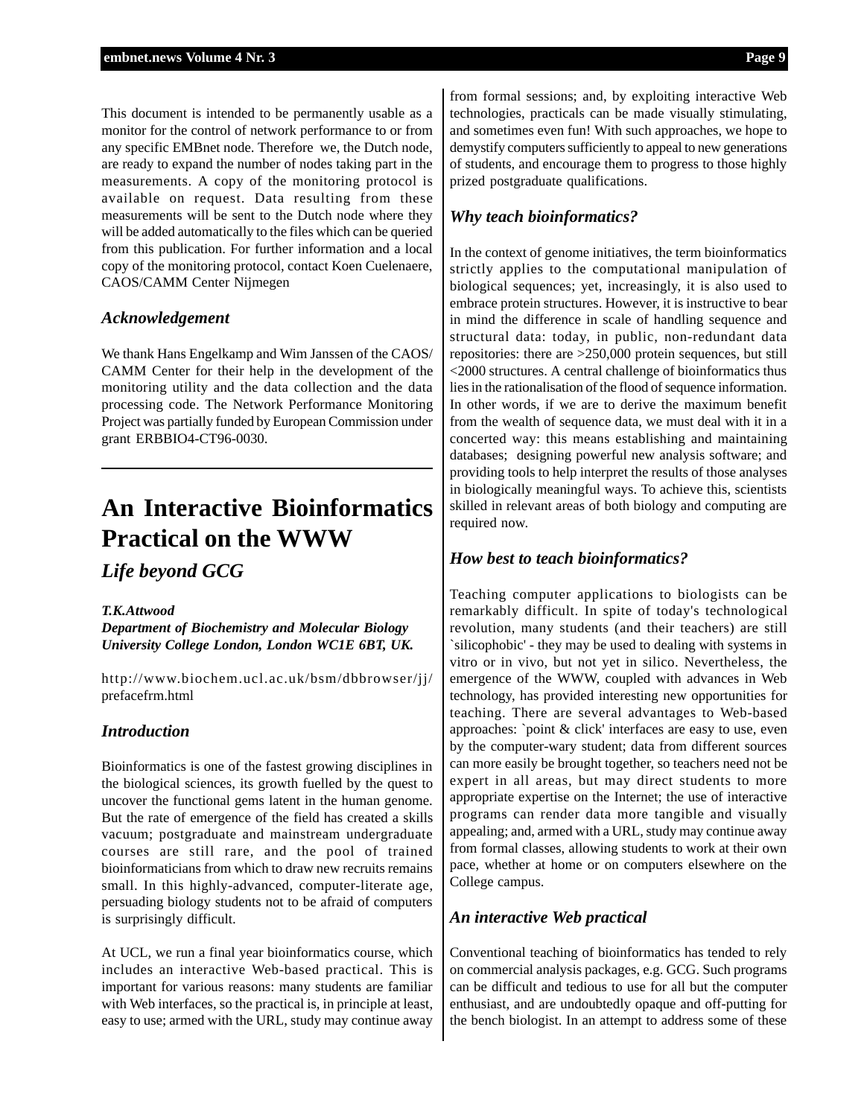This document is intended to be permanently usable as a monitor for the control of network performance to or from any specific EMBnet node. Therefore we, the Dutch node, are ready to expand the number of nodes taking part in the measurements. A copy of the monitoring protocol is available on request. Data resulting from these measurements will be sent to the Dutch node where they will be added automatically to the files which can be queried from this publication. For further information and a local copy of the monitoring protocol, contact Koen Cuelenaere, CAOS/CAMM Center Nijmegen

### *Acknowledgement*

We thank Hans Engelkamp and Wim Janssen of the CAOS/ CAMM Center for their help in the development of the monitoring utility and the data collection and the data processing code. The Network Performance Monitoring Project was partially funded by European Commission under grant ERBBIO4-CT96-0030.

### **An Interactive Bioinformatics Practical on the WWW**

### *Life beyond GCG*

#### *T.K.Attwood*

*Department of Biochemistry and Molecular Biology University College London, London WC1E 6BT, UK.*

http://www.biochem.ucl.ac.uk/bsm/dbbrowser/jj/ prefacefrm.html

### *Introduction*

Bioinformatics is one of the fastest growing disciplines in the biological sciences, its growth fuelled by the quest to uncover the functional gems latent in the human genome. But the rate of emergence of the field has created a skills vacuum; postgraduate and mainstream undergraduate courses are still rare, and the pool of trained bioinformaticians from which to draw new recruits remains small. In this highly-advanced, computer-literate age, persuading biology students not to be afraid of computers is surprisingly difficult.

At UCL, we run a final year bioinformatics course, which includes an interactive Web-based practical. This is important for various reasons: many students are familiar with Web interfaces, so the practical is, in principle at least, easy to use; armed with the URL, study may continue away

from formal sessions; and, by exploiting interactive Web technologies, practicals can be made visually stimulating, and sometimes even fun! With such approaches, we hope to demystify computers sufficiently to appeal to new generations of students, and encourage them to progress to those highly prized postgraduate qualifications.

### *Why teach bioinformatics?*

In the context of genome initiatives, the term bioinformatics strictly applies to the computational manipulation of biological sequences; yet, increasingly, it is also used to embrace protein structures. However, it is instructive to bear in mind the difference in scale of handling sequence and structural data: today, in public, non-redundant data repositories: there are >250,000 protein sequences, but still <2000 structures. A central challenge of bioinformatics thus lies in the rationalisation of the flood of sequence information. In other words, if we are to derive the maximum benefit from the wealth of sequence data, we must deal with it in a concerted way: this means establishing and maintaining databases; designing powerful new analysis software; and providing tools to help interpret the results of those analyses in biologically meaningful ways. To achieve this, scientists skilled in relevant areas of both biology and computing are required now.

### *How best to teach bioinformatics?*

Teaching computer applications to biologists can be remarkably difficult. In spite of today's technological revolution, many students (and their teachers) are still `silicophobic' - they may be used to dealing with systems in vitro or in vivo, but not yet in silico. Nevertheless, the emergence of the WWW, coupled with advances in Web technology, has provided interesting new opportunities for teaching. There are several advantages to Web-based approaches: `point & click' interfaces are easy to use, even by the computer-wary student; data from different sources can more easily be brought together, so teachers need not be expert in all areas, but may direct students to more appropriate expertise on the Internet; the use of interactive programs can render data more tangible and visually appealing; and, armed with a URL, study may continue away from formal classes, allowing students to work at their own pace, whether at home or on computers elsewhere on the College campus.

### *An interactive Web practical*

Conventional teaching of bioinformatics has tended to rely on commercial analysis packages, e.g. GCG. Such programs can be difficult and tedious to use for all but the computer enthusiast, and are undoubtedly opaque and off-putting for the bench biologist. In an attempt to address some of these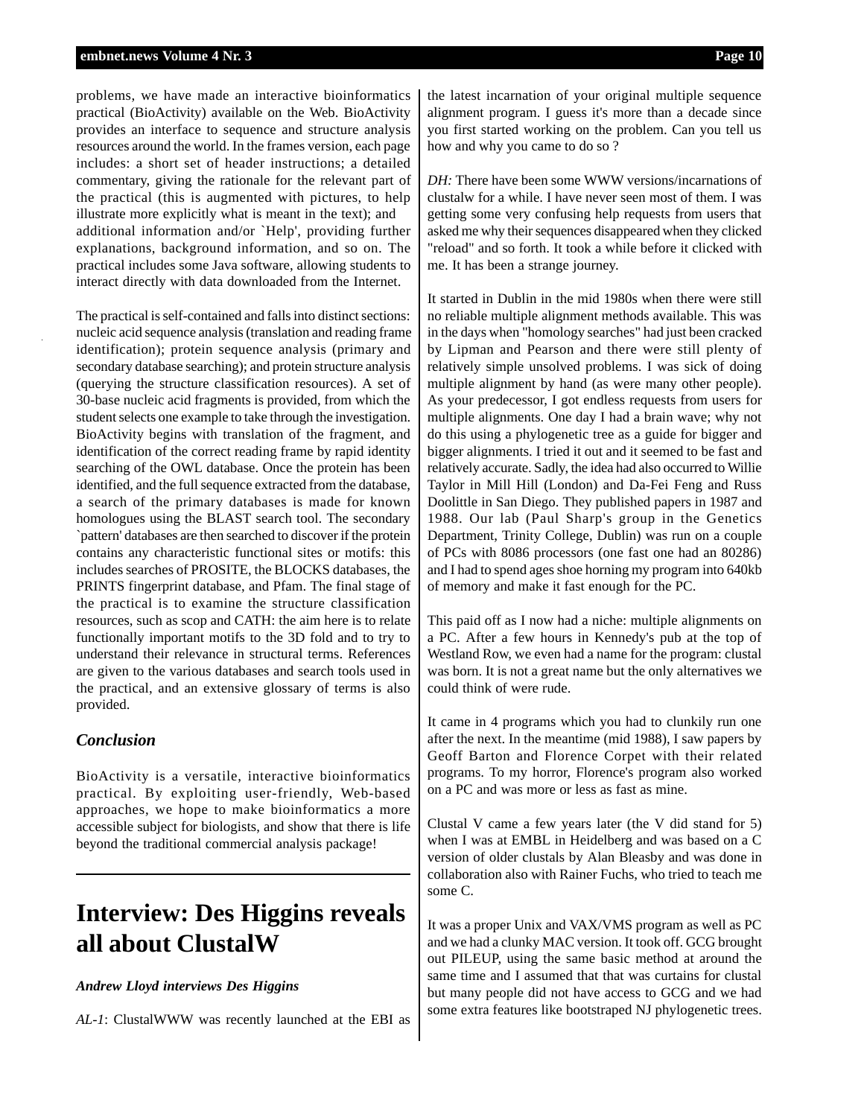problems, we have made an interactive bioinformatics practical (BioActivity) available on the Web. BioActivity provides an interface to sequence and structure analysis resources around the world. In the frames version, each page includes: a short set of header instructions; a detailed commentary, giving the rationale for the relevant part of the practical (this is augmented with pictures, to help illustrate more explicitly what is meant in the text); and additional information and/or `Help', providing further explanations, background information, and so on. The practical includes some Java software, allowing students to interact directly with data downloaded from the Internet.

The practical is self-contained and falls into distinct sections: nucleic acid sequence analysis (translation and reading frame identification); protein sequence analysis (primary and secondary database searching); and protein structure analysis (querying the structure classification resources). A set of 30-base nucleic acid fragments is provided, from which the student selects one example to take through the investigation. BioActivity begins with translation of the fragment, and identification of the correct reading frame by rapid identity searching of the OWL database. Once the protein has been identified, and the full sequence extracted from the database, a search of the primary databases is made for known homologues using the BLAST search tool. The secondary `pattern' databases are then searched to discover if the protein contains any characteristic functional sites or motifs: this includes searches of PROSITE, the BLOCKS databases, the PRINTS fingerprint database, and Pfam. The final stage of the practical is to examine the structure classification resources, such as scop and CATH: the aim here is to relate functionally important motifs to the 3D fold and to try to understand their relevance in structural terms. References are given to the various databases and search tools used in the practical, and an extensive glossary of terms is also provided.

### *Conclusion*

BioActivity is a versatile, interactive bioinformatics practical. By exploiting user-friendly, Web-based approaches, we hope to make bioinformatics a more accessible subject for biologists, and show that there is life beyond the traditional commercial analysis package!

### **Interview: Des Higgins reveals all about ClustalW**

### *Andrew Lloyd interviews Des Higgins*

*AL-1*: ClustalWWW was recently launched at the EBI as

the latest incarnation of your original multiple sequence alignment program. I guess it's more than a decade since you first started working on the problem. Can you tell us how and why you came to do so ?

*DH:* There have been some WWW versions/incarnations of clustalw for a while. I have never seen most of them. I was getting some very confusing help requests from users that asked me why their sequences disappeared when they clicked "reload" and so forth. It took a while before it clicked with me. It has been a strange journey.

It started in Dublin in the mid 1980s when there were still no reliable multiple alignment methods available. This was in the days when "homology searches" had just been cracked by Lipman and Pearson and there were still plenty of relatively simple unsolved problems. I was sick of doing multiple alignment by hand (as were many other people). As your predecessor, I got endless requests from users for multiple alignments. One day I had a brain wave; why not do this using a phylogenetic tree as a guide for bigger and bigger alignments. I tried it out and it seemed to be fast and relatively accurate. Sadly, the idea had also occurred to Willie Taylor in Mill Hill (London) and Da-Fei Feng and Russ Doolittle in San Diego. They published papers in 1987 and 1988. Our lab (Paul Sharp's group in the Genetics Department, Trinity College, Dublin) was run on a couple of PCs with 8086 processors (one fast one had an 80286) and I had to spend ages shoe horning my program into 640kb of memory and make it fast enough for the PC.

This paid off as I now had a niche: multiple alignments on a PC. After a few hours in Kennedy's pub at the top of Westland Row, we even had a name for the program: clustal was born. It is not a great name but the only alternatives we could think of were rude.

It came in 4 programs which you had to clunkily run one after the next. In the meantime (mid 1988), I saw papers by Geoff Barton and Florence Corpet with their related programs. To my horror, Florence's program also worked on a PC and was more or less as fast as mine.

Clustal V came a few years later (the V did stand for 5) when I was at EMBL in Heidelberg and was based on a C version of older clustals by Alan Bleasby and was done in collaboration also with Rainer Fuchs, who tried to teach me some C.

It was a proper Unix and VAX/VMS program as well as PC and we had a clunky MAC version. It took off. GCG brought out PILEUP, using the same basic method at around the same time and I assumed that that was curtains for clustal but many people did not have access to GCG and we had some extra features like bootstraped NJ phylogenetic trees.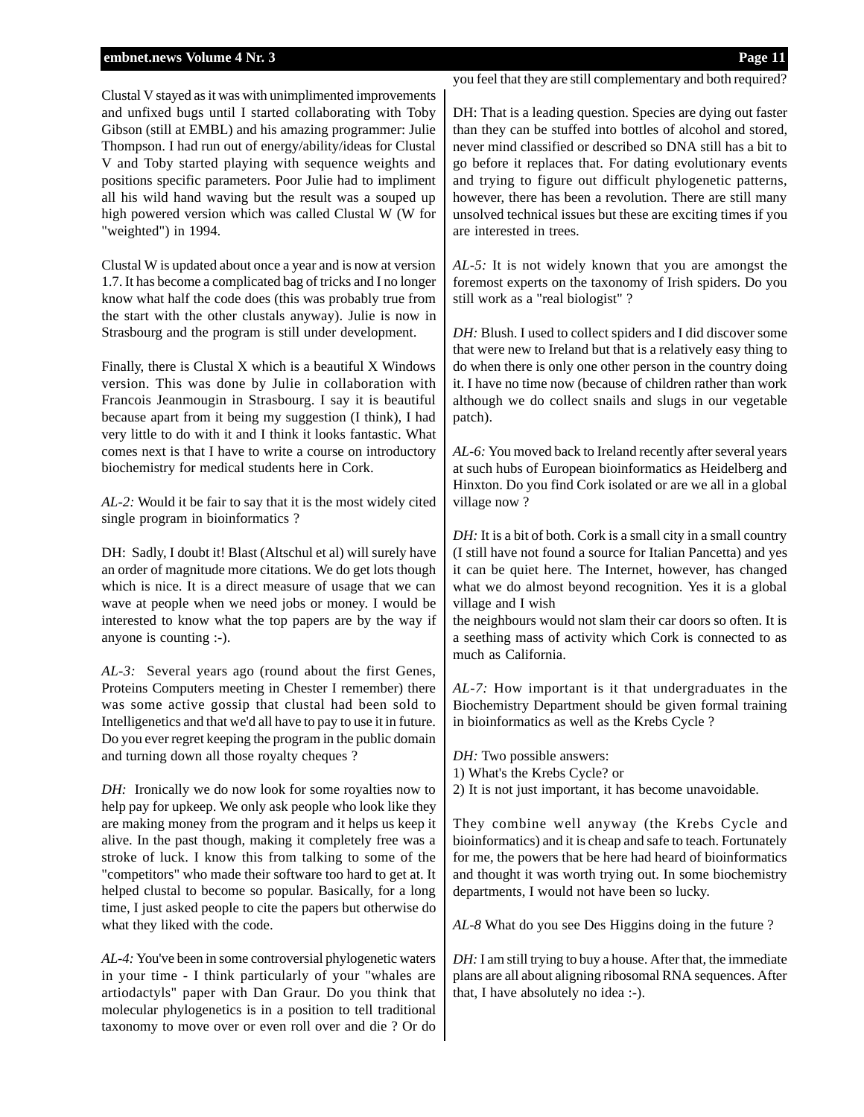Clustal V stayed as it was with unimplimented improvements and unfixed bugs until I started collaborating with Toby Gibson (still at EMBL) and his amazing programmer: Julie Thompson. I had run out of energy/ability/ideas for Clustal V and Toby started playing with sequence weights and positions specific parameters. Poor Julie had to impliment all his wild hand waving but the result was a souped up high powered version which was called Clustal W (W for "weighted") in 1994.

Clustal W is updated about once a year and is now at version 1.7. It has become a complicated bag of tricks and I no longer know what half the code does (this was probably true from the start with the other clustals anyway). Julie is now in Strasbourg and the program is still under development.

Finally, there is Clustal X which is a beautiful X Windows version. This was done by Julie in collaboration with Francois Jeanmougin in Strasbourg. I say it is beautiful because apart from it being my suggestion (I think), I had very little to do with it and I think it looks fantastic. What comes next is that I have to write a course on introductory biochemistry for medical students here in Cork.

*AL-2:* Would it be fair to say that it is the most widely cited single program in bioinformatics ?

DH: Sadly, I doubt it! Blast (Altschul et al) will surely have an order of magnitude more citations. We do get lots though which is nice. It is a direct measure of usage that we can wave at people when we need jobs or money. I would be interested to know what the top papers are by the way if anyone is counting :-).

*AL-3:* Several years ago (round about the first Genes, Proteins Computers meeting in Chester I remember) there was some active gossip that clustal had been sold to Intelligenetics and that we'd all have to pay to use it in future. Do you ever regret keeping the program in the public domain and turning down all those royalty cheques ?

*DH:* Ironically we do now look for some royalties now to help pay for upkeep. We only ask people who look like they are making money from the program and it helps us keep it alive. In the past though, making it completely free was a stroke of luck. I know this from talking to some of the "competitors" who made their software too hard to get at. It helped clustal to become so popular. Basically, for a long time, I just asked people to cite the papers but otherwise do what they liked with the code.

*AL-4:* You've been in some controversial phylogenetic waters in your time - I think particularly of your "whales are artiodactyls" paper with Dan Graur. Do you think that molecular phylogenetics is in a position to tell traditional taxonomy to move over or even roll over and die ? Or do you feel that they are still complementary and both required?

DH: That is a leading question. Species are dying out faster than they can be stuffed into bottles of alcohol and stored, never mind classified or described so DNA still has a bit to go before it replaces that. For dating evolutionary events and trying to figure out difficult phylogenetic patterns, however, there has been a revolution. There are still many unsolved technical issues but these are exciting times if you are interested in trees.

*AL-5:* It is not widely known that you are amongst the foremost experts on the taxonomy of Irish spiders. Do you still work as a "real biologist" ?

*DH:* Blush. I used to collect spiders and I did discover some that were new to Ireland but that is a relatively easy thing to do when there is only one other person in the country doing it. I have no time now (because of children rather than work although we do collect snails and slugs in our vegetable patch).

*AL-6:* You moved back to Ireland recently after several years at such hubs of European bioinformatics as Heidelberg and Hinxton. Do you find Cork isolated or are we all in a global village now ?

*DH:* It is a bit of both. Cork is a small city in a small country (I still have not found a source for Italian Pancetta) and yes it can be quiet here. The Internet, however, has changed what we do almost beyond recognition. Yes it is a global village and I wish

the neighbours would not slam their car doors so often. It is a seething mass of activity which Cork is connected to as much as California.

*AL-7:* How important is it that undergraduates in the Biochemistry Department should be given formal training in bioinformatics as well as the Krebs Cycle ?

*DH:* Two possible answers:

1) What's the Krebs Cycle? or

2) It is not just important, it has become unavoidable.

They combine well anyway (the Krebs Cycle and bioinformatics) and it is cheap and safe to teach. Fortunately for me, the powers that be here had heard of bioinformatics and thought it was worth trying out. In some biochemistry departments, I would not have been so lucky.

*AL-8* What do you see Des Higgins doing in the future ?

*DH:* I am still trying to buy a house. After that, the immediate plans are all about aligning ribosomal RNA sequences. After that, I have absolutely no idea :-).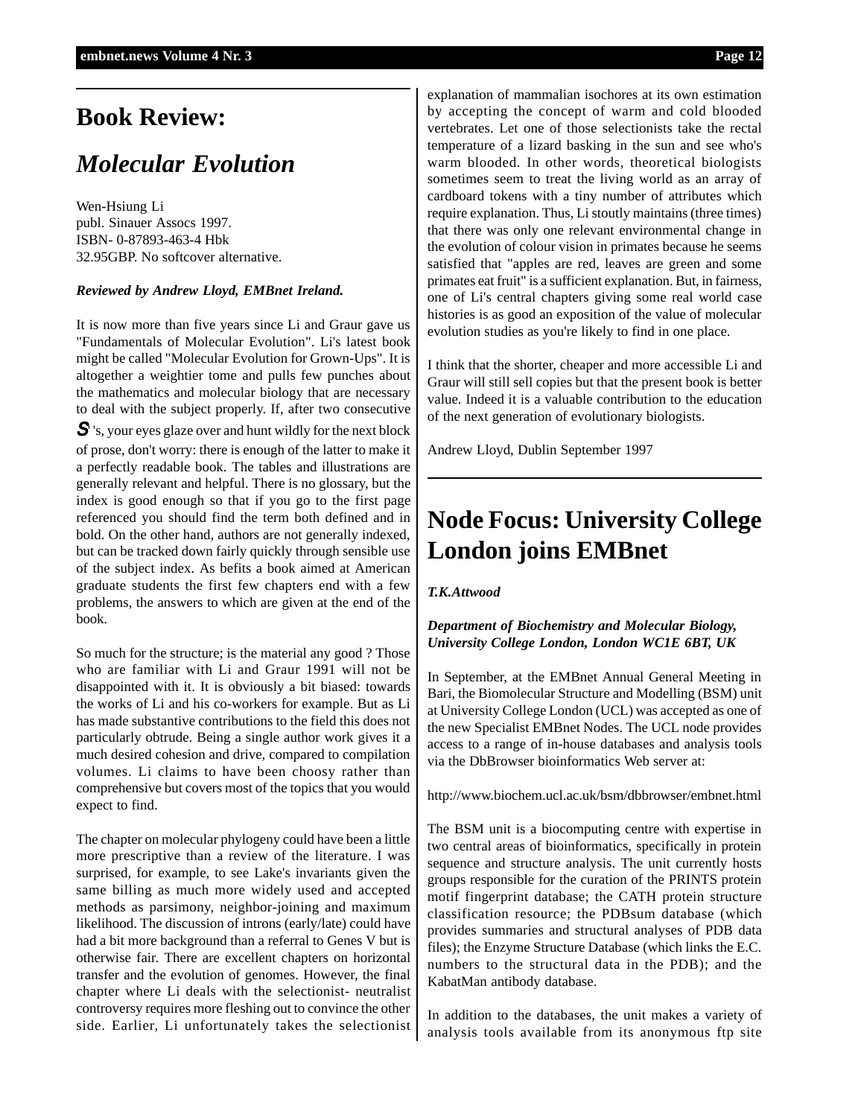### **Book Review:**

### *Molecular Evolution*

Wen-Hsiung Li publ. Sinauer Assocs 1997. ISBN- 0-87893-463-4 Hbk 32.95GBP. No softcover alternative.

### *Reviewed by Andrew Lloyd, EMBnet Ireland.*

It is now more than five years since Li and Graur gave us "Fundamentals of Molecular Evolution". Li's latest book might be called "Molecular Evolution for Grown-Ups". It is altogether a weightier tome and pulls few punches about the mathematics and molecular biology that are necessary to deal with the subject properly. If, after two consecutive

 $S'$  's, your eyes glaze over and hunt wildly for the next block of prose, don't worry: there is enough of the latter to make it a perfectly readable book. The tables and illustrations are generally relevant and helpful. There is no glossary, but the index is good enough so that if you go to the first page referenced you should find the term both defined and in bold. On the other hand, authors are not generally indexed, but can be tracked down fairly quickly through sensible use of the subject index. As befits a book aimed at American graduate students the first few chapters end with a few problems, the answers to which are given at the end of the book.

So much for the structure; is the material any good ? Those who are familiar with Li and Graur 1991 will not be disappointed with it. It is obviously a bit biased: towards the works of Li and his co-workers for example. But as Li has made substantive contributions to the field this does not particularly obtrude. Being a single author work gives it a much desired cohesion and drive, compared to compilation volumes. Li claims to have been choosy rather than comprehensive but covers most of the topics that you would expect to find.

The chapter on molecular phylogeny could have been a little more prescriptive than a review of the literature. I was surprised, for example, to see Lake's invariants given the same billing as much more widely used and accepted methods as parsimony, neighbor-joining and maximum likelihood. The discussion of introns (early/late) could have had a bit more background than a referral to Genes V but is otherwise fair. There are excellent chapters on horizontal transfer and the evolution of genomes. However, the final chapter where Li deals with the selectionist- neutralist controversy requires more fleshing out to convince the other side. Earlier, Li unfortunately takes the selectionist

explanation of mammalian isochores at its own estimation by accepting the concept of warm and cold blooded vertebrates. Let one of those selectionists take the rectal temperature of a lizard basking in the sun and see who's warm blooded. In other words, theoretical biologists sometimes seem to treat the living world as an array of cardboard tokens with a tiny number of attributes which require explanation. Thus, Li stoutly maintains (three times) that there was only one relevant environmental change in the evolution of colour vision in primates because he seems satisfied that "apples are red, leaves are green and some primates eat fruit" is a sufficient explanation. But, in fairness, one of Li's central chapters giving some real world case histories is as good an exposition of the value of molecular evolution studies as you're likely to find in one place.

I think that the shorter, cheaper and more accessible Li and Graur will still sell copies but that the present book is better value. Indeed it is a valuable contribution to the education of the next generation of evolutionary biologists.

Andrew Lloyd, Dublin September 1997

### **Node Focus: University College London joins EMBnet**

### *T.K.Attwood*

### *Department of Biochemistry and Molecular Biology, University College London, London WC1E 6BT, UK*

In September, at the EMBnet Annual General Meeting in Bari, the Biomolecular Structure and Modelling (BSM) unit at University College London (UCL) was accepted as one of the new Specialist EMBnet Nodes. The UCL node provides access to a range of in-house databases and analysis tools via the DbBrowser bioinformatics Web server at:

http://www.biochem.ucl.ac.uk/bsm/dbbrowser/embnet.html

The BSM unit is a biocomputing centre with expertise in two central areas of bioinformatics, specifically in protein sequence and structure analysis. The unit currently hosts groups responsible for the curation of the PRINTS protein motif fingerprint database; the CATH protein structure classification resource; the PDBsum database (which provides summaries and structural analyses of PDB data files); the Enzyme Structure Database (which links the E.C. numbers to the structural data in the PDB); and the KabatMan antibody database.

In addition to the databases, the unit makes a variety of analysis tools available from its anonymous ftp site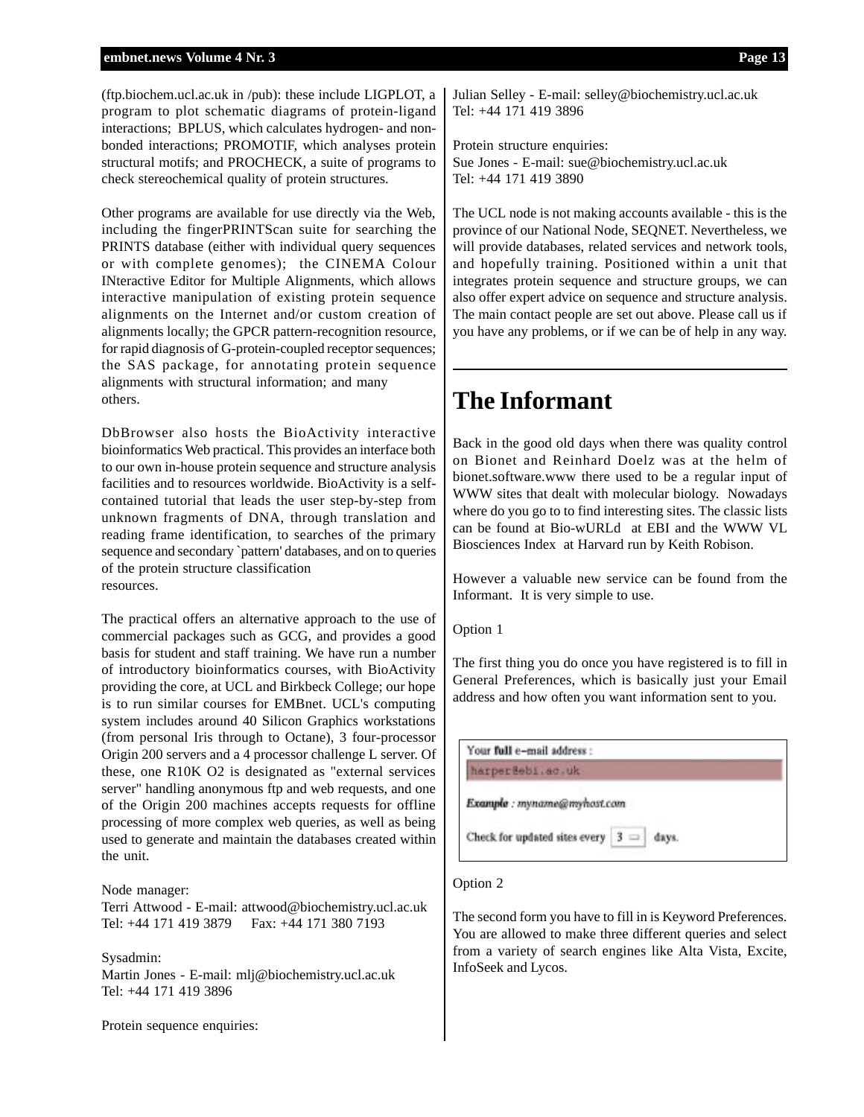(ftp.biochem.ucl.ac.uk in /pub): these include LIGPLOT, a program to plot schematic diagrams of protein-ligand interactions; BPLUS, which calculates hydrogen- and nonbonded interactions; PROMOTIF, which analyses protein structural motifs; and PROCHECK, a suite of programs to check stereochemical quality of protein structures.

Other programs are available for use directly via the Web, including the fingerPRINTScan suite for searching the PRINTS database (either with individual query sequences or with complete genomes); the CINEMA Colour INteractive Editor for Multiple Alignments, which allows interactive manipulation of existing protein sequence alignments on the Internet and/or custom creation of alignments locally; the GPCR pattern-recognition resource, for rapid diagnosis of G-protein-coupled receptor sequences; the SAS package, for annotating protein sequence alignments with structural information; and many others.

DbBrowser also hosts the BioActivity interactive bioinformatics Web practical. This provides an interface both to our own in-house protein sequence and structure analysis facilities and to resources worldwide. BioActivity is a selfcontained tutorial that leads the user step-by-step from unknown fragments of DNA, through translation and reading frame identification, to searches of the primary sequence and secondary `pattern' databases, and on to queries of the protein structure classification resources.

The practical offers an alternative approach to the use of commercial packages such as GCG, and provides a good basis for student and staff training. We have run a number of introductory bioinformatics courses, with BioActivity providing the core, at UCL and Birkbeck College; our hope is to run similar courses for EMBnet. UCL's computing system includes around 40 Silicon Graphics workstations (from personal Iris through to Octane), 3 four-processor Origin 200 servers and a 4 processor challenge L server. Of these, one R10K O2 is designated as "external services server" handling anonymous ftp and web requests, and one of the Origin 200 machines accepts requests for offline processing of more complex web queries, as well as being used to generate and maintain the databases created within the unit.

#### Node manager:

Terri Attwood - E-mail: attwood@biochemistry.ucl.ac.uk Tel: +44 171 419 3879 Fax: +44 171 380 7193

#### Sysadmin:

Martin Jones - E-mail: mlj@biochemistry.ucl.ac.uk Tel: +44 171 419 3896

Protein sequence enquiries:

Julian Selley - E-mail: selley@biochemistry.ucl.ac.uk Tel: +44 171 419 3896

Protein structure enquiries: Sue Jones - E-mail: sue@biochemistry.ucl.ac.uk Tel: +44 171 419 3890

The UCL node is not making accounts available - this is the province of our National Node, SEQNET. Nevertheless, we will provide databases, related services and network tools, and hopefully training. Positioned within a unit that integrates protein sequence and structure groups, we can also offer expert advice on sequence and structure analysis. The main contact people are set out above. Please call us if you have any problems, or if we can be of help in any way.

### **The Informant**

Back in the good old days when there was quality control on Bionet and Reinhard Doelz was at the helm of bionet.software.www there used to be a regular input of WWW sites that dealt with molecular biology. Nowadays where do you go to to find interesting sites. The classic lists can be found at Bio-wURLd at EBI and the WWW VL Biosciences Index at Harvard run by Keith Robison.

However a valuable new service can be found from the Informant. It is very simple to use.

Option 1

The first thing you do once you have registered is to fill in General Preferences, which is basically just your Email address and how often you want information sent to you.

| Your full e-mail address :  |  |
|-----------------------------|--|
| harperBebi.ac.uk            |  |
|                             |  |
|                             |  |
| Example : myname@myhost.com |  |

### Option 2

The second form you have to fill in is Keyword Preferences. You are allowed to make three different queries and select from a variety of search engines like Alta Vista, Excite, InfoSeek and Lycos.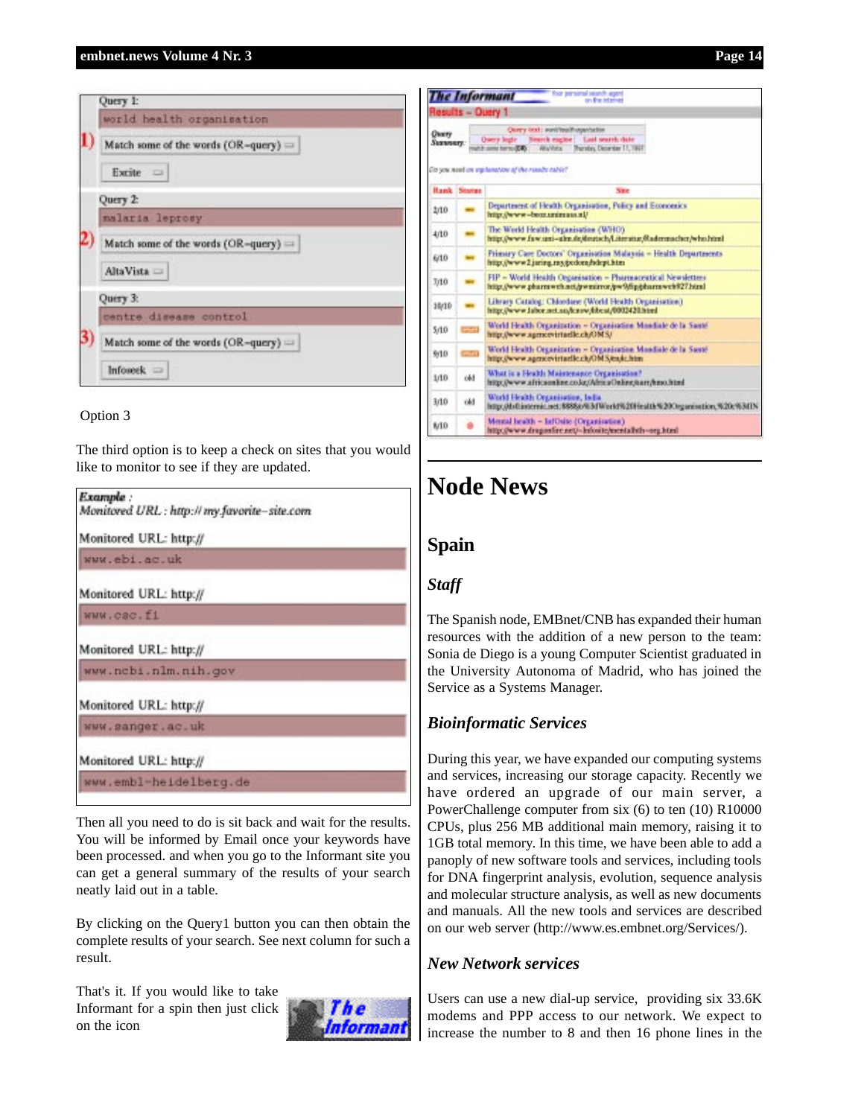

### Option 3

The third option is to keep a check on sites that you would like to monitor to see if they are updated.

Then all you need to do is sit back and wait for the results. You will be informed by Email once your keywords have been processed. and when you go to the Informant site you can get a general summary of the results of your search neatly laid out in a table.

By clicking on the Query1 button you can then obtain the complete results of your search. See next column for such a result.

That's it. If you would like to take Informant for a spin then just click on the icon



|                           |                    | Your personal search agent<br><b>The Informant</b><br>an the interiori                                                                                                                                              |
|---------------------------|--------------------|---------------------------------------------------------------------------------------------------------------------------------------------------------------------------------------------------------------------|
|                           | Results - Query 1  |                                                                                                                                                                                                                     |
| <b>Charry</b><br>Summers: |                    | Query text: wonlyteathouse/sellon<br>Search eagles   Last search date<br><b>Owers legie</b><br>Ata/Arts Thursday, December 11, 1997<br>of the prima to much the<br>Do you need on explanation of the results table? |
|                           | <b>Hank Stotes</b> | Site                                                                                                                                                                                                                |
| 2/10                      |                    | Department of Health Organisation, Policy and Economics<br>http://www.-boor.uninias.al/                                                                                                                             |
| 4/10                      |                    | The World Health Organisation (WHO).<br>http://www.faw.uni-alm.de/deutsch/Literatur/Radermacher/who.html                                                                                                            |
| 6/10                      |                    | Frimary Care Doctors' Organisation Malaxiia - Health Departments<br>http://www2.juring.ms/polons/idept.htm                                                                                                          |
| 7/10                      |                    | FIP = World Health Organisation = Pharmaceutical Newsletters<br>http://www.pharmwch.ntt/pwmirror/pw9/fipibharmwch927.html                                                                                           |
| 38/10                     |                    | Library Catalog: Chlordane (World Health Organisation)<br>http://www.labor.net.no/know/kbcat/0002420.html                                                                                                           |
| 5/10                      | $\sim$             | World Health Occasination - Organization Mondiale de la Santé<br>http://www.agencevirtaelle.ch/OMSJ                                                                                                                 |
| 9:10                      | $-11$              | World Health Organization - Organization Mundiale de la Sasté<br>http://www.agencevirtaelle.ch/OMS.tex.kc/rim-                                                                                                      |
| 1/10                      | obl                | What is a Health Maistenance Organisation?<br>http://www.africsonline.co.kg/AfricaOnline/tiarr/hnso.html                                                                                                            |
| 3/10                      | ökl                | World Health Organisation, India.<br>http://dxft.internit.net/8888a/63dWorld%20Heslth%20Organisation.%20c%3d1N                                                                                                      |
| 8/10                      |                    | Mental health - InfOsite (Organisation)<br>http://www.dragonfere.net/~Infosite/mentallyth-org.html                                                                                                                  |

### **Node News**

### **Spain**

### *Staff*

The Spanish node, EMBnet/CNB has expanded their human resources with the addition of a new person to the team: Sonia de Diego is a young Computer Scientist graduated in the University Autonoma of Madrid, who has joined the Service as a Systems Manager.

### *Bioinformatic Services*

During this year, we have expanded our computing systems and services, increasing our storage capacity. Recently we have ordered an upgrade of our main server, a PowerChallenge computer from six (6) to ten (10) R10000 CPUs, plus 256 MB additional main memory, raising it to 1GB total memory. In this time, we have been able to add a panoply of new software tools and services, including tools for DNA fingerprint analysis, evolution, sequence analysis and molecular structure analysis, as well as new documents and manuals. All the new tools and services are described on our web server (http://www.es.embnet.org/Services/).

### *New Network services*

Users can use a new dial-up service, providing six 33.6K modems and PPP access to our network. We expect to increase the number to 8 and then 16 phone lines in the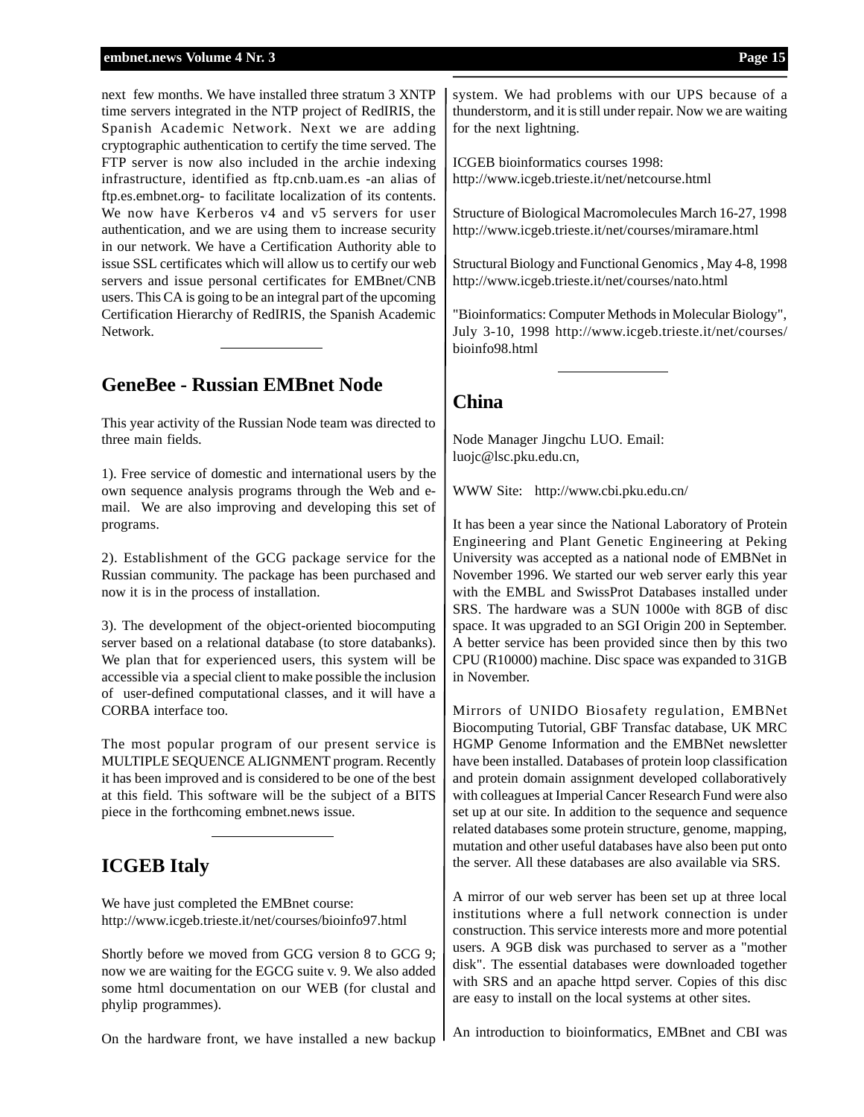next few months. We have installed three stratum 3 XNTP time servers integrated in the NTP project of RedIRIS, the Spanish Academic Network. Next we are adding cryptographic authentication to certify the time served. The FTP server is now also included in the archie indexing infrastructure, identified as ftp.cnb.uam.es -an alias of ftp.es.embnet.org- to facilitate localization of its contents. We now have Kerberos v4 and v5 servers for user authentication, and we are using them to increase security in our network. We have a Certification Authority able to issue SSL certificates which will allow us to certify our web servers and issue personal certificates for EMBnet/CNB users. This CA is going to be an integral part of the upcoming Certification Hierarchy of RedIRIS, the Spanish Academic Network.

### **GeneBee - Russian EMBnet Node**

This year activity of the Russian Node team was directed to three main fields.

1). Free service of domestic and international users by the own sequence analysis programs through the Web and email. We are also improving and developing this set of programs.

2). Establishment of the GCG package service for the Russian community. The package has been purchased and now it is in the process of installation.

3). The development of the object-oriented biocomputing server based on a relational database (to store databanks). We plan that for experienced users, this system will be accessible via a special client to make possible the inclusion of user-defined computational classes, and it will have a CORBA interface too.

The most popular program of our present service is MULTIPLE SEQUENCE ALIGNMENT program. Recently it has been improved and is considered to be one of the best at this field. This software will be the subject of a BITS piece in the forthcoming embnet.news issue.

### **ICGEB Italy**

We have just completed the EMBnet course: http://www.icgeb.trieste.it/net/courses/bioinfo97.html

Shortly before we moved from GCG version 8 to GCG 9; now we are waiting for the EGCG suite v. 9. We also added some html documentation on our WEB (for clustal and phylip programmes).

On the hardware front, we have installed a new backup

system. We had problems with our UPS because of a thunderstorm, and it is still under repair. Now we are waiting for the next lightning.

ICGEB bioinformatics courses 1998: http://www.icgeb.trieste.it/net/netcourse.html

Structure of Biological Macromolecules March 16-27, 1998 http://www.icgeb.trieste.it/net/courses/miramare.html

Structural Biology and Functional Genomics , May 4-8, 1998 http://www.icgeb.trieste.it/net/courses/nato.html

"Bioinformatics: Computer Methods in Molecular Biology", July 3-10, 1998 http://www.icgeb.trieste.it/net/courses/ bioinfo98.html

### **China**

Node Manager Jingchu LUO. Email: luojc@lsc.pku.edu.cn,

WWW Site: http://www.cbi.pku.edu.cn/

It has been a year since the National Laboratory of Protein Engineering and Plant Genetic Engineering at Peking University was accepted as a national node of EMBNet in November 1996. We started our web server early this year with the EMBL and SwissProt Databases installed under SRS. The hardware was a SUN 1000e with 8GB of disc space. It was upgraded to an SGI Origin 200 in September. A better service has been provided since then by this two CPU (R10000) machine. Disc space was expanded to 31GB in November.

Mirrors of UNIDO Biosafety regulation, EMBNet Biocomputing Tutorial, GBF Transfac database, UK MRC HGMP Genome Information and the EMBNet newsletter have been installed. Databases of protein loop classification and protein domain assignment developed collaboratively with colleagues at Imperial Cancer Research Fund were also set up at our site. In addition to the sequence and sequence related databases some protein structure, genome, mapping, mutation and other useful databases have also been put onto the server. All these databases are also available via SRS.

A mirror of our web server has been set up at three local institutions where a full network connection is under construction. This service interests more and more potential users. A 9GB disk was purchased to server as a "mother disk". The essential databases were downloaded together with SRS and an apache httpd server. Copies of this disc are easy to install on the local systems at other sites.

An introduction to bioinformatics, EMBnet and CBI was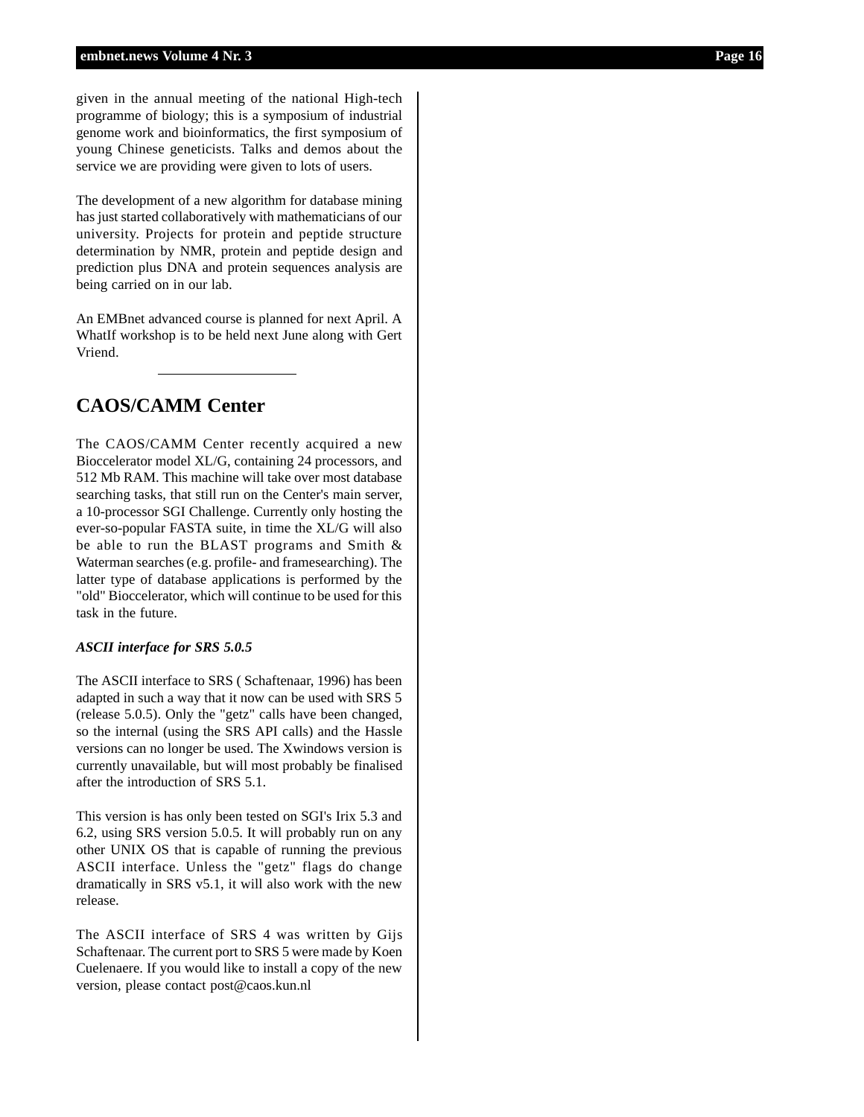given in the annual meeting of the national High-tech programme of biology; this is a symposium of industrial genome work and bioinformatics, the first symposium of young Chinese geneticists. Talks and demos about the service we are providing were given to lots of users.

The development of a new algorithm for database mining has just started collaboratively with mathematicians of our university. Projects for protein and peptide structure determination by NMR, protein and peptide design and prediction plus DNA and protein sequences analysis are being carried on in our lab.

An EMBnet advanced course is planned for next April. A WhatIf workshop is to be held next June along with Gert Vriend.

### **CAOS/CAMM Center**

The CAOS/CAMM Center recently acquired a new Bioccelerator model XL/G, containing 24 processors, and 512 Mb RAM. This machine will take over most database searching tasks, that still run on the Center's main server, a 10-processor SGI Challenge. Currently only hosting the ever-so-popular FASTA suite, in time the XL/G will also be able to run the BLAST programs and Smith & Waterman searches (e.g. profile- and framesearching). The latter type of database applications is performed by the "old" Bioccelerator, which will continue to be used for this task in the future.

#### *ASCII interface for SRS 5.0.5*

The ASCII interface to SRS ( Schaftenaar, 1996) has been adapted in such a way that it now can be used with SRS 5 (release 5.0.5). Only the "getz" calls have been changed, so the internal (using the SRS API calls) and the Hassle versions can no longer be used. The Xwindows version is currently unavailable, but will most probably be finalised after the introduction of SRS 5.1.

This version is has only been tested on SGI's Irix 5.3 and 6.2, using SRS version 5.0.5. It will probably run on any other UNIX OS that is capable of running the previous ASCII interface. Unless the "getz" flags do change dramatically in SRS v5.1, it will also work with the new release.

The ASCII interface of SRS 4 was written by Gijs Schaftenaar. The current port to SRS 5 were made by Koen Cuelenaere. If you would like to install a copy of the new version, please contact post@caos.kun.nl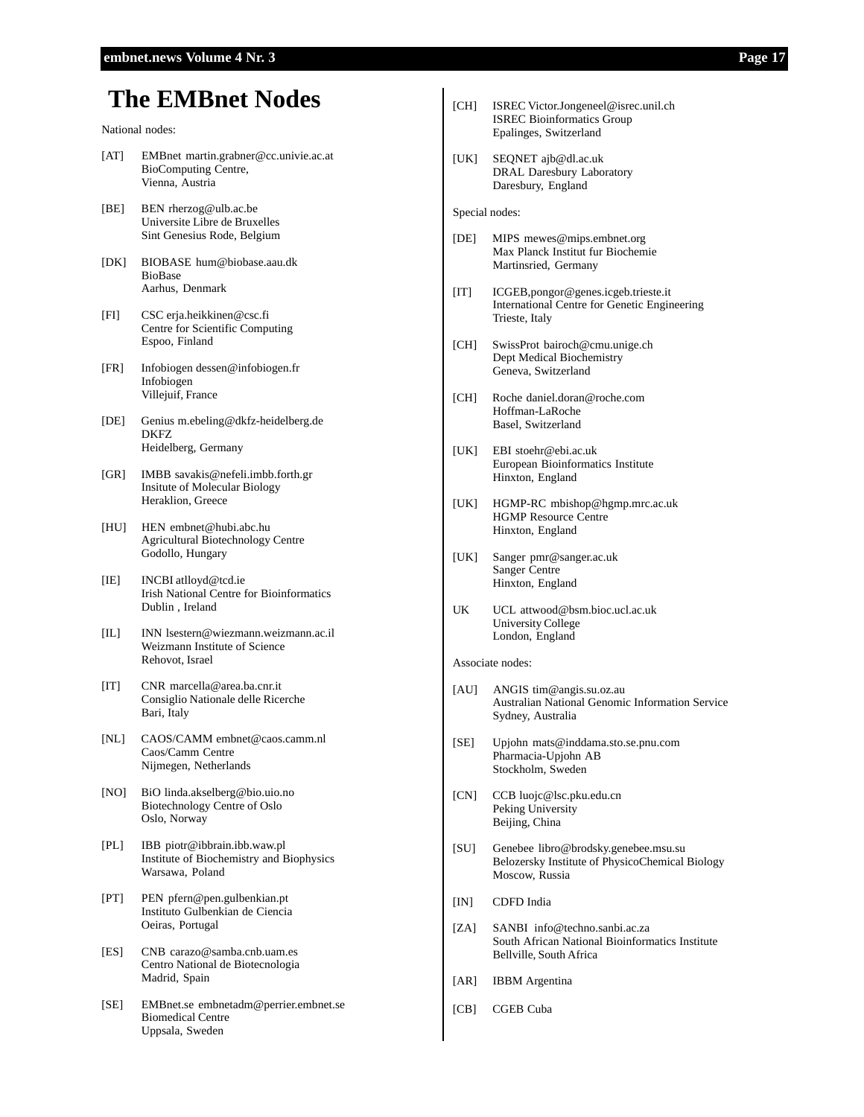### **The EMBnet Nodes**

#### National nodes:

- [AT] EMBnet martin.grabner@cc.univie.ac.at BioComputing Centre, Vienna, Austria
- [BE] BEN rherzog@ulb.ac.be Universite Libre de Bruxelles Sint Genesius Rode, Belgium
- [DK] BIOBASE hum@biobase.aau.dk BioBase Aarhus, Denmark
- [FI] CSC erja.heikkinen@csc.fi Centre for Scientific Computing Espoo, Finland
- [FR] Infobiogen dessen@infobiogen.fr Infobiogen Villejuif, France
- [DE] Genius m.ebeling@dkfz-heidelberg.de DKFZ Heidelberg, Germany
- [GR] IMBB savakis@nefeli.imbb.forth.gr Insitute of Molecular Biology Heraklion, Greece
- [HU] HEN embnet@hubi.abc.hu Agricultural Biotechnology Centre Godollo, Hungary
- [IE] INCBI atlloyd@tcd.ie Irish National Centre for Bioinformatics Dublin , Ireland
- [IL] INN lsestern@wiezmann.weizmann.ac.il Weizmann Institute of Science Rehovot, Israel
- [IT] CNR marcella@area.ba.cnr.it Consiglio Nationale delle Ricerche Bari, Italy
- [NL] CAOS/CAMM embnet@caos.camm.nl Caos/Camm Centre Nijmegen, Netherlands
- [NO] BiO linda.akselberg@bio.uio.no Biotechnology Centre of Oslo Oslo, Norway
- [PL] IBB piotr@ibbrain.ibb.waw.pl Institute of Biochemistry and Biophysics Warsawa, Poland
- [PT] PEN pfern@pen.gulbenkian.pt Instituto Gulbenkian de Ciencia Oeiras, Portugal
- [ES] CNB carazo@samba.cnb.uam.es Centro National de Biotecnologia Madrid, Spain
- [SE] EMBnet.se embnetadm@perrier.embnet.se Biomedical Centre Uppsala, Sweden
- [CH] ISREC Victor.Jongeneel@isrec.unil.ch ISREC Bioinformatics Group Epalinges, Switzerland
- [UK] SEQNET ajb@dl.ac.uk DRAL Daresbury Laboratory Daresbury, England

Special nodes:

- [DE] MIPS mewes@mips.embnet.org Max Planck Institut fur Biochemie Martinsried, Germany
- [IT] ICGEB,pongor@genes.icgeb.trieste.it International Centre for Genetic Engineering Trieste, Italy
- [CH] SwissProt bairoch@cmu.unige.ch Dept Medical Biochemistry Geneva, Switzerland
- [CH] Roche daniel.doran@roche.com Hoffman-LaRoche Basel, Switzerland
- [UK] EBI stoehr@ebi.ac.uk European Bioinformatics Institute Hinxton, England
- [UK] HGMP-RC mbishop@hgmp.mrc.ac.uk HGMP Resource Centre Hinxton, England
- [UK] Sanger pmr@sanger.ac.uk Sanger Centre Hinxton, England
- UK UCL attwood@bsm.bioc.ucl.ac.uk University College London, England

#### Associate nodes:

- [AU] ANGIS tim@angis.su.oz.au Australian National Genomic Information Service Sydney, Australia
- [SE] Upjohn mats@inddama.sto.se.pnu.com Pharmacia-Upjohn AB Stockholm, Sweden
- [CN] CCB luojc@lsc.pku.edu.cn Peking University Beijing, China
- [SU] Genebee libro@brodsky.genebee.msu.su Belozersky Institute of PhysicoChemical Biology Moscow, Russia
- [IN] CDFD India
- [ZA] SANBI info@techno.sanbi.ac.za South African National Bioinformatics Institute Bellville, South Africa
- [AR] IBBM Argentina
- [CB] CGEB Cuba